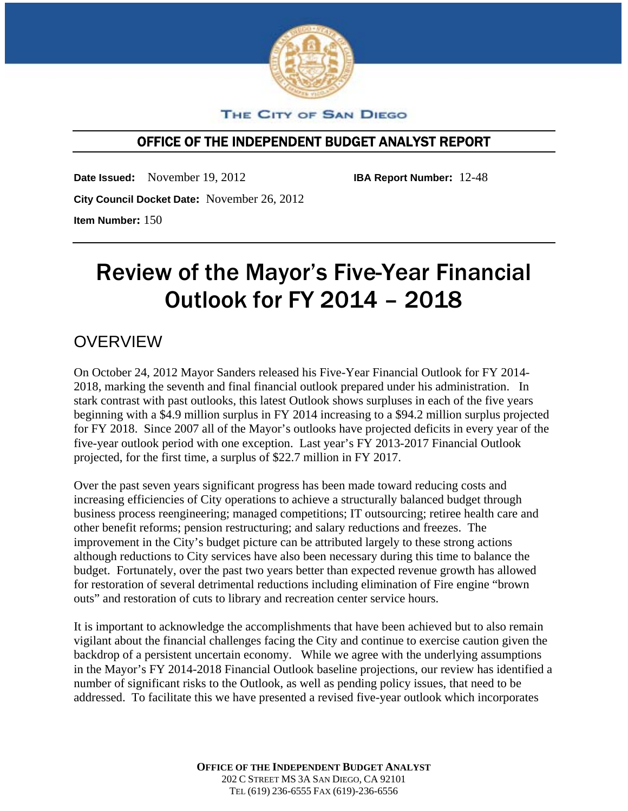

## THE CITY OF SAN DIEGO

## OFFICE OF THE INDEPENDENT BUDGET ANALYST REPORT

**Date Issued:** November 19, 2012 **IBA Report Number:** 12-48 **City Council Docket Date:** November 26, 2012 **Item Number:** 150

Review of the Mayor's Five-Year Financial Outlook for FY 2014 – 2018

## **OVERVIEW**

On October 24, 2012 Mayor Sanders released his Five-Year Financial Outlook for FY 2014- 2018, marking the seventh and final financial outlook prepared under his administration. In stark contrast with past outlooks, this latest Outlook shows surpluses in each of the five years beginning with a \$4.9 million surplus in FY 2014 increasing to a \$94.2 million surplus projected for FY 2018. Since 2007 all of the Mayor's outlooks have projected deficits in every year of the five-year outlook period with one exception. Last year's FY 2013-2017 Financial Outlook projected, for the first time, a surplus of \$22.7 million in FY 2017.

Over the past seven years significant progress has been made toward reducing costs and increasing efficiencies of City operations to achieve a structurally balanced budget through business process reengineering; managed competitions; IT outsourcing; retiree health care and other benefit reforms; pension restructuring; and salary reductions and freezes. The improvement in the City's budget picture can be attributed largely to these strong actions although reductions to City services have also been necessary during this time to balance the budget. Fortunately, over the past two years better than expected revenue growth has allowed for restoration of several detrimental reductions including elimination of Fire engine "brown outs" and restoration of cuts to library and recreation center service hours.

It is important to acknowledge the accomplishments that have been achieved but to also remain vigilant about the financial challenges facing the City and continue to exercise caution given the backdrop of a persistent uncertain economy. While we agree with the underlying assumptions in the Mayor's FY 2014-2018 Financial Outlook baseline projections, our review has identified a number of significant risks to the Outlook, as well as pending policy issues, that need to be addressed. To facilitate this we have presented a revised five-year outlook which incorporates

> **OFFICE OF THE INDEPENDENT BUDGET ANALYST** 202 C STREET MS 3A SAN DIEGO, CA 92101 TEL (619) 236-6555 FAX (619)-236-6556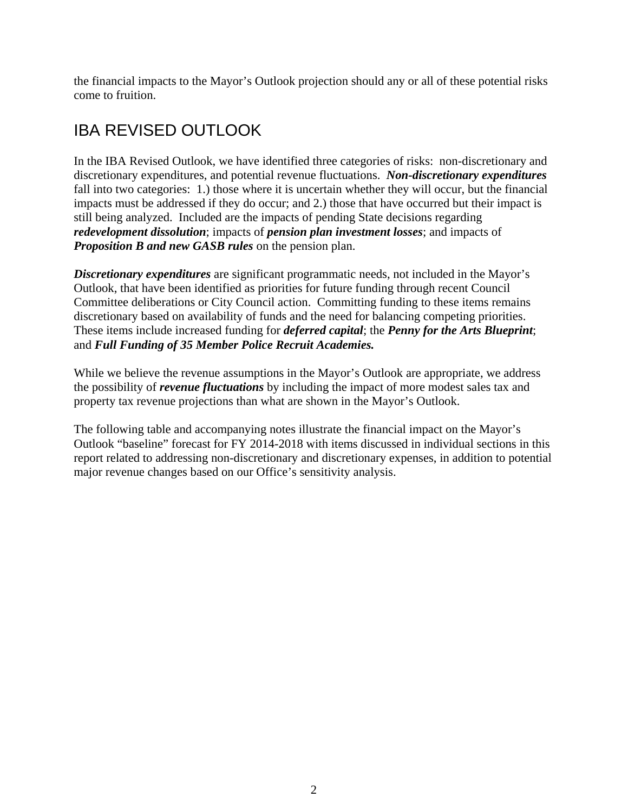the financial impacts to the Mayor's Outlook projection should any or all of these potential risks come to fruition.

# IBA REVISED OUTLOOK

In the IBA Revised Outlook, we have identified three categories of risks: non-discretionary and discretionary expenditures, and potential revenue fluctuations. *Non-discretionary expenditures*  fall into two categories: 1.) those where it is uncertain whether they will occur, but the financial impacts must be addressed if they do occur; and 2.) those that have occurred but their impact is still being analyzed. Included are the impacts of pending State decisions regarding *redevelopment dissolution*; impacts of *pension plan investment losses*; and impacts of *Proposition B and new GASB rules* on the pension plan.

*Discretionary expenditures* are significant programmatic needs, not included in the Mayor's Outlook, that have been identified as priorities for future funding through recent Council Committee deliberations or City Council action. Committing funding to these items remains discretionary based on availability of funds and the need for balancing competing priorities. These items include increased funding for *deferred capital*; the *Penny for the Arts Blueprint*; and *Full Funding of 35 Member Police Recruit Academies.*

While we believe the revenue assumptions in the Mayor's Outlook are appropriate, we address the possibility of *revenue fluctuations* by including the impact of more modest sales tax and property tax revenue projections than what are shown in the Mayor's Outlook.

The following table and accompanying notes illustrate the financial impact on the Mayor's Outlook "baseline" forecast for FY 2014-2018 with items discussed in individual sections in this report related to addressing non-discretionary and discretionary expenses, in addition to potential major revenue changes based on our Office's sensitivity analysis.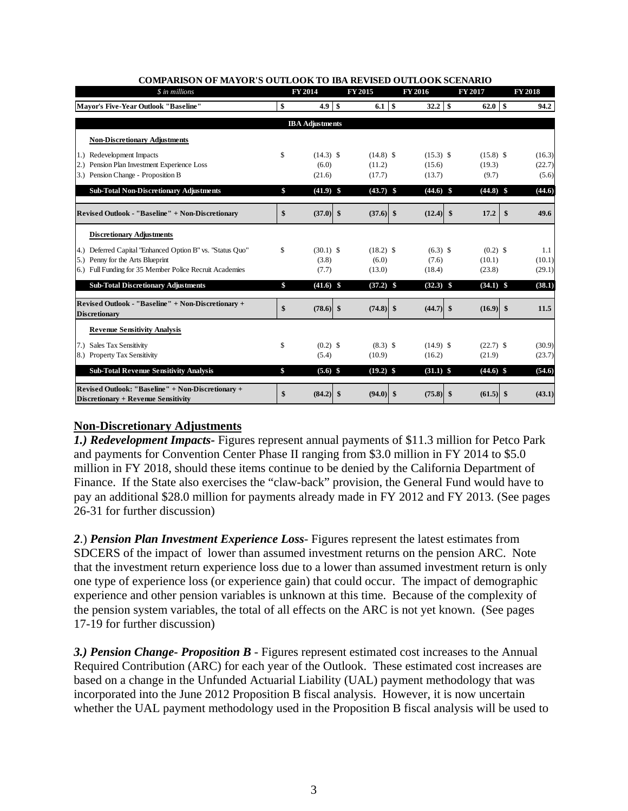| \$ in millions                                                                           | FY 2014                |               | FY 2015     |    | FY 2016     |     | FY 2017     | <b>FY 2018</b> |
|------------------------------------------------------------------------------------------|------------------------|---------------|-------------|----|-------------|-----|-------------|----------------|
| Mayor's Five-Year Outlook "Baseline"                                                     | \$<br>4.9              | <sup>\$</sup> |             |    | $32.2$ \$   |     | $62.0$ S    | 94.2           |
|                                                                                          | <b>IBA</b> Adjustments |               |             |    |             |     |             |                |
| <b>Non-Discretionary Adjustments</b>                                                     |                        |               |             |    |             |     |             |                |
| 1.) Redevelopment Impacts                                                                | \$<br>$(14.3)$ \$      |               | $(14.8)$ \$ |    | $(15.3)$ \$ |     | $(15.8)$ \$ | (16.3)         |
| 2.) Pension Plan Investment Experience Loss                                              | (6.0)                  |               | (11.2)      |    | (15.6)      |     | (19.3)      | (22.7)         |
| 3.) Pension Change - Proposition B                                                       | (21.6)                 |               | (17.7)      |    | (13.7)      |     | (9.7)       | (5.6)          |
| <b>Sub-Total Non-Discretionary Adjustments</b>                                           | \$<br>$(41.9)$ \$      |               | $(43.7)$ \$ |    | $(44.6)$ \$ |     | $(44.8)$ \$ | (44.6)         |
| Revised Outlook - "Baseline" + Non-Discretionary                                         | \$<br>$(37.0)$ \$      |               | $(37.6)$ \$ |    | $(12.4)$ \$ |     | 17.2        | \$<br>49.6     |
| <b>Discretionary Adjustments</b>                                                         |                        |               |             |    |             |     |             |                |
| 4.) Deferred Capital "Enhanced Option B" vs. "Status Quo"                                | \$<br>$(30.1)$ \$      |               | $(18.2)$ \$ |    | $(6.3)$ \$  |     | $(0.2)$ \$  | 1.1            |
| Penny for the Arts Blueprint<br>5.                                                       | (3.8)                  |               | (6.0)       |    | (7.6)       |     | (10.1)      | (10.1)         |
| 6.) Full Funding for 35 Member Police Recruit Academies                                  | (7.7)                  |               | (13.0)      |    | (18.4)      |     | (23.8)      | (29.1)         |
| <b>Sub-Total Discretionary Adjustments</b>                                               | \$<br>$(41.6)$ \$      |               | $(37.2)$ \$ |    | $(32.3)$ \$ |     | $(34.1)$ \$ | (38.1)         |
| Revised Outlook - "Baseline" + Non-Discretionary +<br><b>Discretionary</b>               | \$<br>$(78.6)$ \$      |               | $(74.8)$ \$ |    | $(44.7)$ \$ |     | $(16.9)$ \$ | 11.5           |
| <b>Revenue Sensitivity Analysis</b>                                                      |                        |               |             |    |             |     |             |                |
| <b>Sales Tax Sensitivity</b><br>(7.)                                                     | \$<br>$(0.2)$ \$       |               | $(8.3)$ \$  |    | $(14.9)$ \$ |     | $(22.7)$ \$ | (30.9)         |
| 8.) Property Tax Sensitivity                                                             | (5.4)                  |               | (10.9)      |    | (16.2)      |     | (21.9)      | (23.7)         |
| <b>Sub-Total Revenue Sensitivity Analysis</b>                                            | \$<br>$(5.6)$ \$       |               | $(19.2)$ \$ |    | $(31.1)$ \$ |     | $(44.6)$ \$ | (54.6)         |
| Revised Outlook: "Baseline" + Non-Discretionary +<br>Discretionary + Revenue Sensitivity | \$<br>(84.2)           | \$            | (94.0)      | -S | (75.8)      | -\$ | (61.5)      | \$<br>(43.1)   |

#### **COMPARISON OF MAYOR'S OUTLOOK TO IBA REVISED OUTLOOK SCENARIO**

## **Non-Discretionary Adjustments**

*1.) Redevelopment Impacts-* Figures represent annual payments of \$11.3 million for Petco Park and payments for Convention Center Phase II ranging from \$3.0 million in FY 2014 to \$5.0 million in FY 2018, should these items continue to be denied by the California Department of Finance. If the State also exercises the "claw-back" provision, the General Fund would have to pay an additional \$28.0 million for payments already made in FY 2012 and FY 2013. (See pages 26-31 for further discussion)

*2*.) *Pension Plan Investment Experience Loss*- Figures represent the latest estimates from SDCERS of the impact of lower than assumed investment returns on the pension ARC. Note that the investment return experience loss due to a lower than assumed investment return is only one type of experience loss (or experience gain) that could occur. The impact of demographic experience and other pension variables is unknown at this time. Because of the complexity of the pension system variables, the total of all effects on the ARC is not yet known. (See pages 17-19 for further discussion)

**3.) Pension Change- Proposition B** - Figures represent estimated cost increases to the Annual Required Contribution (ARC) for each year of the Outlook. These estimated cost increases are based on a change in the Unfunded Actuarial Liability (UAL) payment methodology that was incorporated into the June 2012 Proposition B fiscal analysis. However, it is now uncertain whether the UAL payment methodology used in the Proposition B fiscal analysis will be used to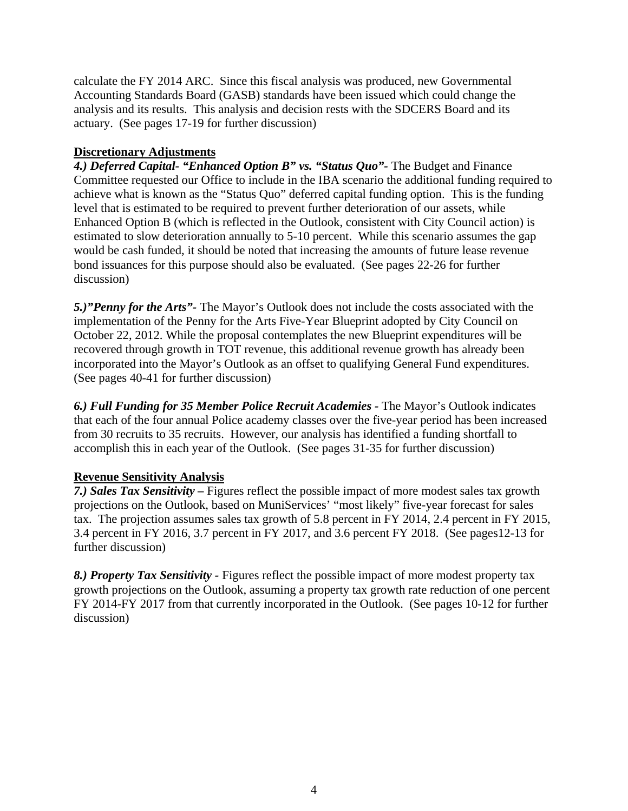calculate the FY 2014 ARC. Since this fiscal analysis was produced, new Governmental Accounting Standards Board (GASB) standards have been issued which could change the analysis and its results. This analysis and decision rests with the SDCERS Board and its actuary. (See pages 17-19 for further discussion)

## **Discretionary Adjustments**

*4.) Deferred Capital- "Enhanced Option B" vs. "Status Quo"-* The Budget and Finance Committee requested our Office to include in the IBA scenario the additional funding required to achieve what is known as the "Status Quo" deferred capital funding option. This is the funding level that is estimated to be required to prevent further deterioration of our assets, while Enhanced Option B (which is reflected in the Outlook, consistent with City Council action) is estimated to slow deterioration annually to 5-10 percent. While this scenario assumes the gap would be cash funded, it should be noted that increasing the amounts of future lease revenue bond issuances for this purpose should also be evaluated. (See pages 22-26 for further discussion)

*5.)"Penny for the Arts"-* The Mayor's Outlook does not include the costs associated with the implementation of the Penny for the Arts Five-Year Blueprint adopted by City Council on October 22, 2012. While the proposal contemplates the new Blueprint expenditures will be recovered through growth in TOT revenue, this additional revenue growth has already been incorporated into the Mayor's Outlook as an offset to qualifying General Fund expenditures. (See pages 40-41 for further discussion)

*6.) Full Funding for 35 Member Police Recruit Academies -* The Mayor's Outlook indicates that each of the four annual Police academy classes over the five-year period has been increased from 30 recruits to 35 recruits. However, our analysis has identified a funding shortfall to accomplish this in each year of the Outlook. (See pages 31-35 for further discussion)

## **Revenue Sensitivity Analysis**

*7.) Sales Tax Sensitivity –* Figures reflect the possible impact of more modest sales tax growth projections on the Outlook, based on MuniServices' "most likely" five-year forecast for sales tax. The projection assumes sales tax growth of 5.8 percent in FY 2014, 2.4 percent in FY 2015, 3.4 percent in FY 2016, 3.7 percent in FY 2017, and 3.6 percent FY 2018. (See pages12-13 for further discussion)

*8.) Property Tax Sensitivity -* Figures reflect the possible impact of more modest property tax growth projections on the Outlook, assuming a property tax growth rate reduction of one percent FY 2014-FY 2017 from that currently incorporated in the Outlook. (See pages 10-12 for further discussion)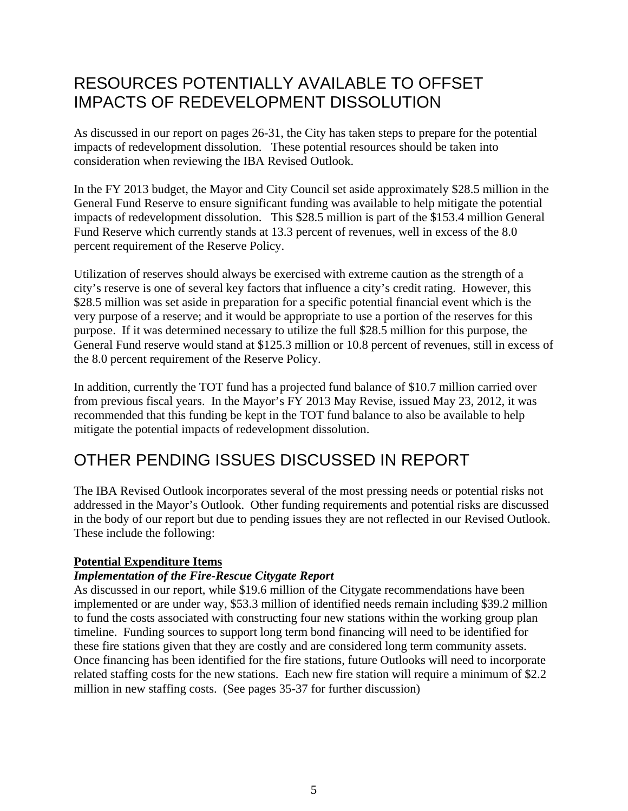# RESOURCES POTENTIALLY AVAILABLE TO OFFSET IMPACTS OF REDEVELOPMENT DISSOLUTION

As discussed in our report on pages 26-31, the City has taken steps to prepare for the potential impacts of redevelopment dissolution. These potential resources should be taken into consideration when reviewing the IBA Revised Outlook.

In the FY 2013 budget, the Mayor and City Council set aside approximately \$28.5 million in the General Fund Reserve to ensure significant funding was available to help mitigate the potential impacts of redevelopment dissolution. This \$28.5 million is part of the \$153.4 million General Fund Reserve which currently stands at 13.3 percent of revenues, well in excess of the 8.0 percent requirement of the Reserve Policy.

Utilization of reserves should always be exercised with extreme caution as the strength of a city's reserve is one of several key factors that influence a city's credit rating. However, this \$28.5 million was set aside in preparation for a specific potential financial event which is the very purpose of a reserve; and it would be appropriate to use a portion of the reserves for this purpose. If it was determined necessary to utilize the full \$28.5 million for this purpose, the General Fund reserve would stand at \$125.3 million or 10.8 percent of revenues, still in excess of the 8.0 percent requirement of the Reserve Policy.

In addition, currently the TOT fund has a projected fund balance of \$10.7 million carried over from previous fiscal years. In the Mayor's FY 2013 May Revise, issued May 23, 2012, it was recommended that this funding be kept in the TOT fund balance to also be available to help mitigate the potential impacts of redevelopment dissolution.

# OTHER PENDING ISSUES DISCUSSED IN REPORT

The IBA Revised Outlook incorporates several of the most pressing needs or potential risks not addressed in the Mayor's Outlook. Other funding requirements and potential risks are discussed in the body of our report but due to pending issues they are not reflected in our Revised Outlook. These include the following:

## **Potential Expenditure Items**

## *Implementation of the Fire-Rescue Citygate Report*

As discussed in our report, while \$19.6 million of the Citygate recommendations have been implemented or are under way, \$53.3 million of identified needs remain including \$39.2 million to fund the costs associated with constructing four new stations within the working group plan timeline. Funding sources to support long term bond financing will need to be identified for these fire stations given that they are costly and are considered long term community assets. Once financing has been identified for the fire stations, future Outlooks will need to incorporate related staffing costs for the new stations. Each new fire station will require a minimum of \$2.2 million in new staffing costs. (See pages 35-37 for further discussion)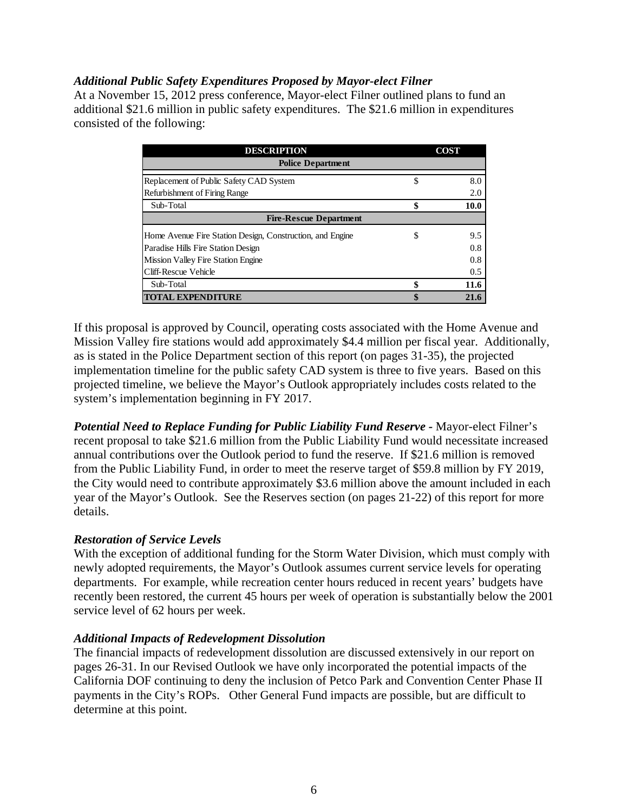## *Additional Public Safety Expenditures Proposed by Mayor-elect Filner*

At a November 15, 2012 press conference, Mayor-elect Filner outlined plans to fund an additional \$21.6 million in public safety expenditures. The \$21.6 million in expenditures consisted of the following:

| <b>DESCRIPTION</b>                                        |    | <b>COST</b> |  |  |  |  |  |  |
|-----------------------------------------------------------|----|-------------|--|--|--|--|--|--|
| <b>Police Department</b>                                  |    |             |  |  |  |  |  |  |
| Replacement of Public Safety CAD System                   | \$ | 8.0         |  |  |  |  |  |  |
| Refurbishment of Firing Range                             |    | 2.0         |  |  |  |  |  |  |
| Sub-Total                                                 |    | 10.0        |  |  |  |  |  |  |
| <b>Fire-Rescue Department</b>                             |    |             |  |  |  |  |  |  |
| Home Avenue Fire Station Design, Construction, and Engine | \$ | 9.5         |  |  |  |  |  |  |
| Paradise Hills Fire Station Design                        |    | 0.8         |  |  |  |  |  |  |
| <b>Mission Valley Fire Station Engine</b>                 |    | 0.8         |  |  |  |  |  |  |
| Cliff-Rescue Vehicle                                      |    | 0.5         |  |  |  |  |  |  |
| Sub-Total                                                 | \$ | 11.6        |  |  |  |  |  |  |
| <b>TOTAL EXPENDITURE</b>                                  | \$ | 21.6        |  |  |  |  |  |  |

If this proposal is approved by Council, operating costs associated with the Home Avenue and Mission Valley fire stations would add approximately \$4.4 million per fiscal year. Additionally, as is stated in the Police Department section of this report (on pages 31-35), the projected implementation timeline for the public safety CAD system is three to five years. Based on this projected timeline, we believe the Mayor's Outlook appropriately includes costs related to the system's implementation beginning in FY 2017.

*Potential Need to Replace Funding for Public Liability Fund Reserve -* Mayor-elect Filner's recent proposal to take \$21.6 million from the Public Liability Fund would necessitate increased annual contributions over the Outlook period to fund the reserve. If \$21.6 million is removed from the Public Liability Fund, in order to meet the reserve target of \$59.8 million by FY 2019, the City would need to contribute approximately \$3.6 million above the amount included in each year of the Mayor's Outlook. See the Reserves section (on pages 21-22) of this report for more details.

## *Restoration of Service Levels*

With the exception of additional funding for the Storm Water Division, which must comply with newly adopted requirements, the Mayor's Outlook assumes current service levels for operating departments. For example, while recreation center hours reduced in recent years' budgets have recently been restored, the current 45 hours per week of operation is substantially below the 2001 service level of 62 hours per week.

## *Additional Impacts of Redevelopment Dissolution*

The financial impacts of redevelopment dissolution are discussed extensively in our report on pages 26-31. In our Revised Outlook we have only incorporated the potential impacts of the California DOF continuing to deny the inclusion of Petco Park and Convention Center Phase II payments in the City's ROPs. Other General Fund impacts are possible, but are difficult to determine at this point.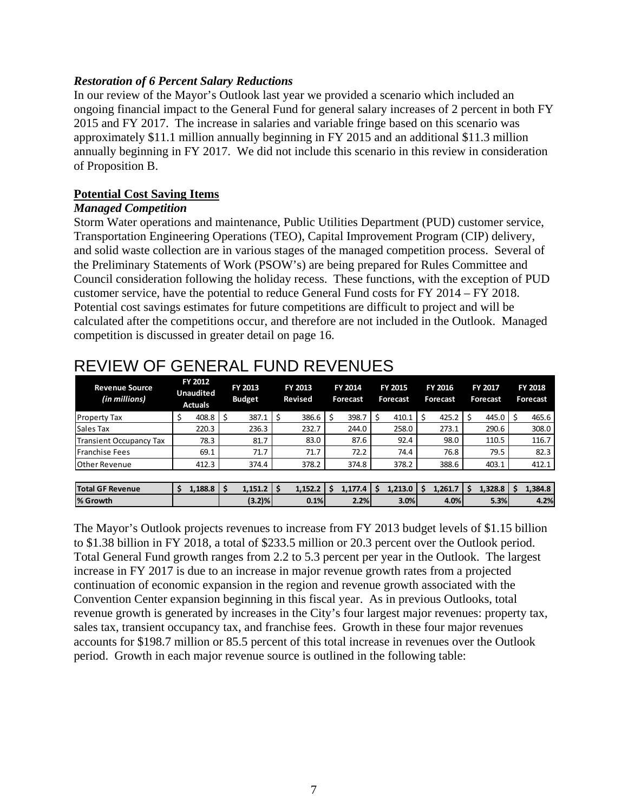## *Restoration of 6 Percent Salary Reductions*

In our review of the Mayor's Outlook last year we provided a scenario which included an ongoing financial impact to the General Fund for general salary increases of 2 percent in both FY 2015 and FY 2017. The increase in salaries and variable fringe based on this scenario was approximately \$11.1 million annually beginning in FY 2015 and an additional \$11.3 million annually beginning in FY 2017. We did not include this scenario in this review in consideration of Proposition B.

## **Potential Cost Saving Items**

## *Managed Competition*

Storm Water operations and maintenance, Public Utilities Department (PUD) customer service, Transportation Engineering Operations (TEO), Capital Improvement Program (CIP) delivery, and solid waste collection are in various stages of the managed competition process. Several of the Preliminary Statements of Work (PSOW's) are being prepared for Rules Committee and Council consideration following the holiday recess. These functions, with the exception of PUD customer service, have the potential to reduce General Fund costs for FY 2014 – FY 2018. Potential cost savings estimates for future competitions are difficult to project and will be calculated after the competitions occur, and therefore are not included in the Outlook. Managed competition is discussed in greater detail on page 16.

| <b>Revenue Source</b><br>(in millions) | FY 2012<br><b>Unaudited</b><br><b>Actuals</b> |      | FY 2013<br><b>Budget</b> | FY 2013<br><b>Revised</b> |  | <b>FY 2014</b><br>Forecast |  | <b>FY 2015</b><br>Forecast |   | <b>FY 2016</b><br>Forecast |    | <b>FY 2017</b><br>Forecast |  | <b>FY 2018</b><br>Forecast |
|----------------------------------------|-----------------------------------------------|------|--------------------------|---------------------------|--|----------------------------|--|----------------------------|---|----------------------------|----|----------------------------|--|----------------------------|
| <b>Property Tax</b>                    | \$<br>408.8                                   | .S   | 387.1                    | 386.6                     |  | 398.7                      |  | 410.1                      | Ś | 425.2                      | \$ | 445.0                      |  | 465.6                      |
| Sales Tax                              | 220.3                                         |      | 236.3                    | 232.7                     |  | 244.0                      |  | 258.0                      |   | 273.1                      |    | 290.6                      |  | 308.0                      |
| Transient Occupancy Tax                | 78.3                                          |      | 81.7                     | 83.0                      |  | 87.6                       |  | 92.4                       |   | 98.0                       |    | 110.5                      |  | 116.7                      |
| <b>Franchise Fees</b>                  | 69.1                                          |      | 71.7                     | 71.7                      |  | 72.2                       |  | 74.4                       |   | 76.8                       |    | 79.5                       |  | 82.3                       |
| <b>Other Revenue</b>                   | 412.3                                         |      | 374.4                    | 378.2                     |  | 374.8                      |  | 378.2                      |   | 388.6                      |    | 403.1                      |  | 412.1                      |
|                                        |                                               |      |                          |                           |  |                            |  |                            |   |                            |    |                            |  |                            |
| Total GF Revenue                       | \$<br>1,188.8                                 | l \$ | 1,151.2                  | 1,152.2                   |  | 1,177.4                    |  | 1,213.0                    |   | 1,261.7                    | S  | 1,328.8                    |  | 1,384.8                    |
| % Growth                               |                                               |      | (3.2)%                   | 0.1%                      |  | 2.2%                       |  | 3.0%                       |   | 4.0%                       |    | 5.3%                       |  | 4.2%                       |

# REVIEW OF GENERAL FUND REVENUES

The Mayor's Outlook projects revenues to increase from FY 2013 budget levels of \$1.15 billion to \$1.38 billion in FY 2018, a total of \$233.5 million or 20.3 percent over the Outlook period. Total General Fund growth ranges from 2.2 to 5.3 percent per year in the Outlook. The largest increase in FY 2017 is due to an increase in major revenue growth rates from a projected continuation of economic expansion in the region and revenue growth associated with the Convention Center expansion beginning in this fiscal year. As in previous Outlooks, total revenue growth is generated by increases in the City's four largest major revenues: property tax, sales tax, transient occupancy tax, and franchise fees. Growth in these four major revenues accounts for \$198.7 million or 85.5 percent of this total increase in revenues over the Outlook period. Growth in each major revenue source is outlined in the following table: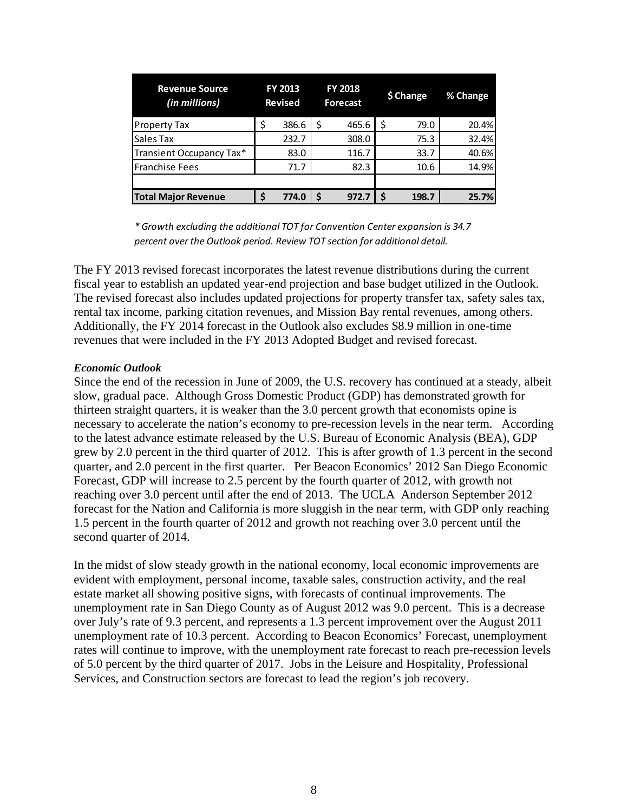| <b>Revenue Source</b><br>(in millions) |   | FY 2013<br><b>Revised</b> |    | <b>FY 2018</b><br>Forecast | \$ Change | % Change |
|----------------------------------------|---|---------------------------|----|----------------------------|-----------|----------|
| <b>Property Tax</b>                    | Ś | 386.6                     | \$ | 465.6                      | 79.0      | 20.4%    |
| Sales Tax                              |   | 232.7                     |    | 308.0                      | 75.3      | 32.4%    |
| Transient Occupancy Tax*               |   | 83.0                      |    | 116.7                      | 33.7      | 40.6%    |
| <b>Franchise Fees</b>                  |   | 71.7                      |    | 82.3                       | 10.6      | 14.9%    |
|                                        |   |                           |    |                            |           |          |
| <b>Total Major Revenue</b>             |   | 774.0                     | S  | 972.7                      | 198.7     | 25.7%    |

*\* Growth excluding the additional TOT for Convention Center expansion is 34.7 percent over the Outlook period. Review TOT section for additional detail.*

The FY 2013 revised forecast incorporates the latest revenue distributions during the current fiscal year to establish an updated year-end projection and base budget utilized in the Outlook. The revised forecast also includes updated projections for property transfer tax, safety sales tax, rental tax income, parking citation revenues, and Mission Bay rental revenues, among others. Additionally, the FY 2014 forecast in the Outlook also excludes \$8.9 million in one-time revenues that were included in the FY 2013 Adopted Budget and revised forecast.

### *Economic Outlook*

Since the end of the recession in June of 2009, the U.S. recovery has continued at a steady, albeit slow, gradual pace. Although Gross Domestic Product (GDP) has demonstrated growth for thirteen straight quarters, it is weaker than the 3.0 percent growth that economists opine is necessary to accelerate the nation's economy to pre-recession levels in the near term. According to the latest advance estimate released by the U.S. Bureau of Economic Analysis (BEA), GDP grew by 2.0 percent in the third quarter of 2012. This is after growth of 1.3 percent in the second quarter, and 2.0 percent in the first quarter. Per Beacon Economics' 2012 San Diego Economic Forecast, GDP will increase to 2.5 percent by the fourth quarter of 2012, with growth not reaching over 3.0 percent until after the end of 2013. The UCLA Anderson September 2012 forecast for the Nation and California is more sluggish in the near term, with GDP only reaching 1.5 percent in the fourth quarter of 2012 and growth not reaching over 3.0 percent until the second quarter of 2014.

In the midst of slow steady growth in the national economy, local economic improvements are evident with employment, personal income, taxable sales, construction activity, and the real estate market all showing positive signs, with forecasts of continual improvements. The unemployment rate in San Diego County as of August 2012 was 9.0 percent. This is a decrease over July's rate of 9.3 percent, and represents a 1.3 percent improvement over the August 2011 unemployment rate of 10.3 percent. According to Beacon Economics' Forecast, unemployment rates will continue to improve, with the unemployment rate forecast to reach pre-recession levels of 5.0 percent by the third quarter of 2017. Jobs in the Leisure and Hospitality, Professional Services, and Construction sectors are forecast to lead the region's job recovery.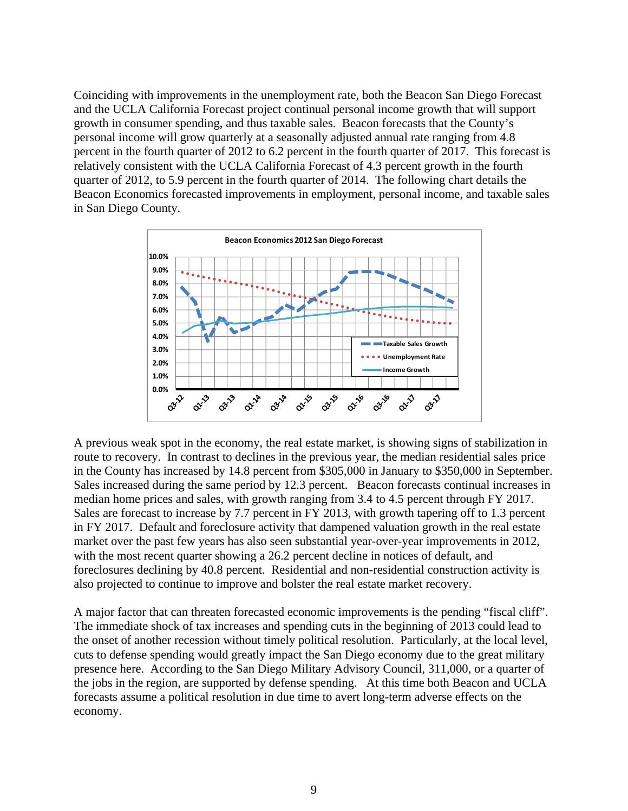Coinciding with improvements in the unemployment rate, both the Beacon San Diego Forecast and the UCLA California Forecast project continual personal income growth that will support growth in consumer spending, and thus taxable sales. Beacon forecasts that the County's personal income will grow quarterly at a seasonally adjusted annual rate ranging from 4.8 percent in the fourth quarter of 2012 to 6.2 percent in the fourth quarter of 2017. This forecast is relatively consistent with the UCLA California Forecast of 4.3 percent growth in the fourth quarter of 2012, to 5.9 percent in the fourth quarter of 2014. The following chart details the Beacon Economics forecasted improvements in employment, personal income, and taxable sales in San Diego County.



A previous weak spot in the economy, the real estate market, is showing signs of stabilization in route to recovery. In contrast to declines in the previous year, the median residential sales price in the County has increased by 14.8 percent from \$305,000 in January to \$350,000 in September. Sales increased during the same period by 12.3 percent. Beacon forecasts continual increases in median home prices and sales, with growth ranging from 3.4 to 4.5 percent through FY 2017. Sales are forecast to increase by 7.7 percent in FY 2013, with growth tapering off to 1.3 percent in FY 2017. Default and foreclosure activity that dampened valuation growth in the real estate market over the past few years has also seen substantial year-over-year improvements in 2012, with the most recent quarter showing a 26.2 percent decline in notices of default, and foreclosures declining by 40.8 percent. Residential and non-residential construction activity is also projected to continue to improve and bolster the real estate market recovery.

A major factor that can threaten forecasted economic improvements is the pending "fiscal cliff". The immediate shock of tax increases and spending cuts in the beginning of 2013 could lead to the onset of another recession without timely political resolution. Particularly, at the local level, cuts to defense spending would greatly impact the San Diego economy due to the great military presence here. According to the San Diego Military Advisory Council, 311,000, or a quarter of the jobs in the region, are supported by defense spending. At this time both Beacon and UCLA forecasts assume a political resolution in due time to avert long-term adverse effects on the economy.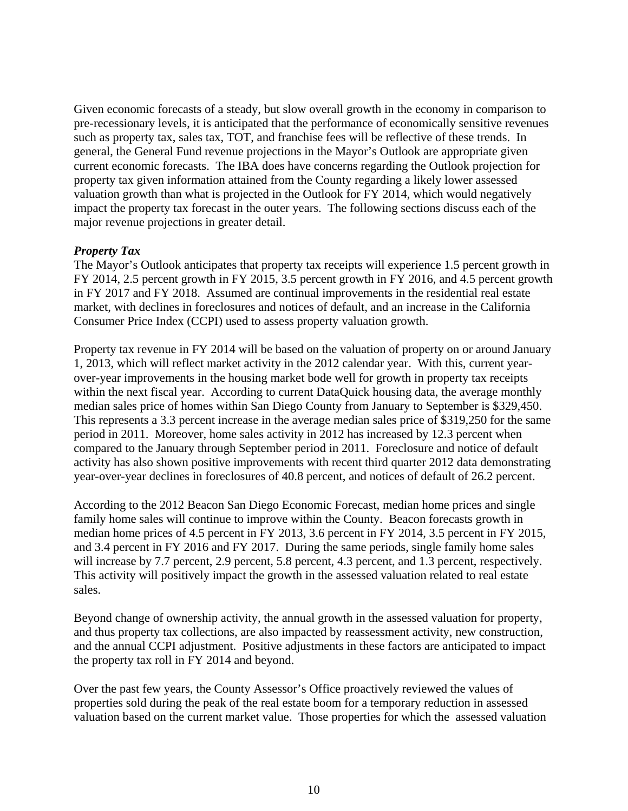Given economic forecasts of a steady, but slow overall growth in the economy in comparison to pre-recessionary levels, it is anticipated that the performance of economically sensitive revenues such as property tax, sales tax, TOT, and franchise fees will be reflective of these trends. In general, the General Fund revenue projections in the Mayor's Outlook are appropriate given current economic forecasts. The IBA does have concerns regarding the Outlook projection for property tax given information attained from the County regarding a likely lower assessed valuation growth than what is projected in the Outlook for FY 2014, which would negatively impact the property tax forecast in the outer years. The following sections discuss each of the major revenue projections in greater detail.

## *Property Tax*

The Mayor's Outlook anticipates that property tax receipts will experience 1.5 percent growth in FY 2014, 2.5 percent growth in FY 2015, 3.5 percent growth in FY 2016, and 4.5 percent growth in FY 2017 and FY 2018. Assumed are continual improvements in the residential real estate market, with declines in foreclosures and notices of default, and an increase in the California Consumer Price Index (CCPI) used to assess property valuation growth.

Property tax revenue in FY 2014 will be based on the valuation of property on or around January 1, 2013, which will reflect market activity in the 2012 calendar year. With this, current yearover-year improvements in the housing market bode well for growth in property tax receipts within the next fiscal year. According to current DataQuick housing data, the average monthly median sales price of homes within San Diego County from January to September is \$329,450. This represents a 3.3 percent increase in the average median sales price of \$319,250 for the same period in 2011. Moreover, home sales activity in 2012 has increased by 12.3 percent when compared to the January through September period in 2011. Foreclosure and notice of default activity has also shown positive improvements with recent third quarter 2012 data demonstrating year-over-year declines in foreclosures of 40.8 percent, and notices of default of 26.2 percent.

According to the 2012 Beacon San Diego Economic Forecast, median home prices and single family home sales will continue to improve within the County. Beacon forecasts growth in median home prices of 4.5 percent in FY 2013, 3.6 percent in FY 2014, 3.5 percent in FY 2015, and 3.4 percent in FY 2016 and FY 2017. During the same periods, single family home sales will increase by 7.7 percent, 2.9 percent, 5.8 percent, 4.3 percent, and 1.3 percent, respectively. This activity will positively impact the growth in the assessed valuation related to real estate sales.

Beyond change of ownership activity, the annual growth in the assessed valuation for property, and thus property tax collections, are also impacted by reassessment activity, new construction, and the annual CCPI adjustment. Positive adjustments in these factors are anticipated to impact the property tax roll in FY 2014 and beyond.

Over the past few years, the County Assessor's Office proactively reviewed the values of properties sold during the peak of the real estate boom for a temporary reduction in assessed valuation based on the current market value. Those properties for which the assessed valuation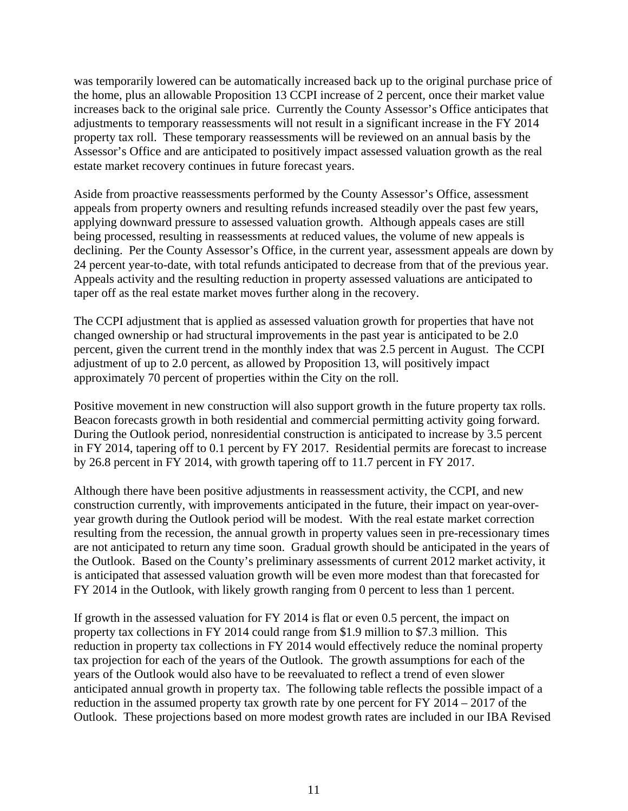was temporarily lowered can be automatically increased back up to the original purchase price of the home, plus an allowable Proposition 13 CCPI increase of 2 percent, once their market value increases back to the original sale price. Currently the County Assessor's Office anticipates that adjustments to temporary reassessments will not result in a significant increase in the FY 2014 property tax roll. These temporary reassessments will be reviewed on an annual basis by the Assessor's Office and are anticipated to positively impact assessed valuation growth as the real estate market recovery continues in future forecast years.

Aside from proactive reassessments performed by the County Assessor's Office, assessment appeals from property owners and resulting refunds increased steadily over the past few years, applying downward pressure to assessed valuation growth. Although appeals cases are still being processed, resulting in reassessments at reduced values, the volume of new appeals is declining. Per the County Assessor's Office, in the current year, assessment appeals are down by 24 percent year-to-date, with total refunds anticipated to decrease from that of the previous year. Appeals activity and the resulting reduction in property assessed valuations are anticipated to taper off as the real estate market moves further along in the recovery.

The CCPI adjustment that is applied as assessed valuation growth for properties that have not changed ownership or had structural improvements in the past year is anticipated to be 2.0 percent, given the current trend in the monthly index that was 2.5 percent in August. The CCPI adjustment of up to 2.0 percent, as allowed by Proposition 13, will positively impact approximately 70 percent of properties within the City on the roll.

Positive movement in new construction will also support growth in the future property tax rolls. Beacon forecasts growth in both residential and commercial permitting activity going forward. During the Outlook period, nonresidential construction is anticipated to increase by 3.5 percent in FY 2014, tapering off to 0.1 percent by FY 2017. Residential permits are forecast to increase by 26.8 percent in FY 2014, with growth tapering off to 11.7 percent in FY 2017.

Although there have been positive adjustments in reassessment activity, the CCPI, and new construction currently, with improvements anticipated in the future, their impact on year-overyear growth during the Outlook period will be modest. With the real estate market correction resulting from the recession, the annual growth in property values seen in pre-recessionary times are not anticipated to return any time soon. Gradual growth should be anticipated in the years of the Outlook. Based on the County's preliminary assessments of current 2012 market activity, it is anticipated that assessed valuation growth will be even more modest than that forecasted for FY 2014 in the Outlook, with likely growth ranging from 0 percent to less than 1 percent.

If growth in the assessed valuation for FY 2014 is flat or even 0.5 percent, the impact on property tax collections in FY 2014 could range from \$1.9 million to \$7.3 million. This reduction in property tax collections in FY 2014 would effectively reduce the nominal property tax projection for each of the years of the Outlook. The growth assumptions for each of the years of the Outlook would also have to be reevaluated to reflect a trend of even slower anticipated annual growth in property tax. The following table reflects the possible impact of a reduction in the assumed property tax growth rate by one percent for FY 2014 – 2017 of the Outlook. These projections based on more modest growth rates are included in our IBA Revised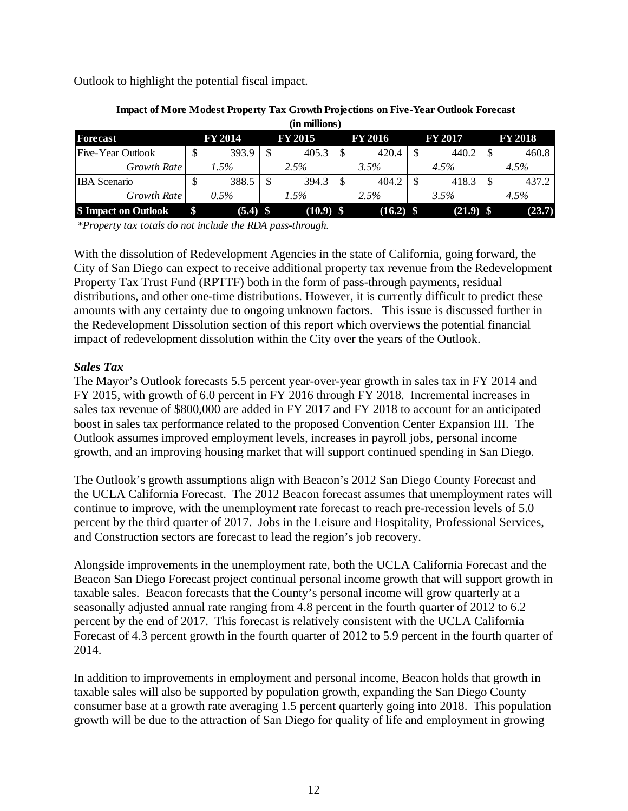Outlook to highlight the potential fiscal impact.

| (in millions)            |   |                |    |                |  |                |  |                |                |
|--------------------------|---|----------------|----|----------------|--|----------------|--|----------------|----------------|
| Forecast                 |   | <b>FY 2014</b> |    | <b>FY 2015</b> |  | <b>FY 2016</b> |  | <b>FY 2017</b> | <b>FY 2018</b> |
| <b>Five-Year Outlook</b> | D | 393.9          | \$ | 405.3          |  | 420.4          |  | 440.2          | 460.8          |
| Growth Rate              |   | $1.5\%$        |    | 2.5%           |  | 3.5%           |  | 4.5%           | 4.5%           |
| <b>IBA</b> Scenario      | D | 388.5          | S  | 394.3          |  | 404.2          |  | 418.3          | 437.2          |
| Growth Rate              |   | $0.5\%$        |    | 1.5%           |  | 2.5%           |  | 3.5%           | 4.5%           |
| \$ Impact on Outlook     |   | $(5.4)$ \$     |    | $(10.9)$ \$    |  | $(16.2)$ \$    |  | $(21.9)$ \$    | (23.7)         |

## **Impact of More Modest Property Tax Growth Projections on Five-Year Outlook Forecast**

*\*Property tax totals do not include the RDA pass-through.*

With the dissolution of Redevelopment Agencies in the state of California, going forward, the City of San Diego can expect to receive additional property tax revenue from the Redevelopment Property Tax Trust Fund (RPTTF) both in the form of pass-through payments, residual distributions, and other one-time distributions. However, it is currently difficult to predict these amounts with any certainty due to ongoing unknown factors. This issue is discussed further in the Redevelopment Dissolution section of this report which overviews the potential financial impact of redevelopment dissolution within the City over the years of the Outlook.

## *Sales Tax*

The Mayor's Outlook forecasts 5.5 percent year-over-year growth in sales tax in FY 2014 and FY 2015, with growth of 6.0 percent in FY 2016 through FY 2018. Incremental increases in sales tax revenue of \$800,000 are added in FY 2017 and FY 2018 to account for an anticipated boost in sales tax performance related to the proposed Convention Center Expansion III. The Outlook assumes improved employment levels, increases in payroll jobs, personal income growth, and an improving housing market that will support continued spending in San Diego.

The Outlook's growth assumptions align with Beacon's 2012 San Diego County Forecast and the UCLA California Forecast. The 2012 Beacon forecast assumes that unemployment rates will continue to improve, with the unemployment rate forecast to reach pre-recession levels of 5.0 percent by the third quarter of 2017. Jobs in the Leisure and Hospitality, Professional Services, and Construction sectors are forecast to lead the region's job recovery.

Alongside improvements in the unemployment rate, both the UCLA California Forecast and the Beacon San Diego Forecast project continual personal income growth that will support growth in taxable sales. Beacon forecasts that the County's personal income will grow quarterly at a seasonally adjusted annual rate ranging from 4.8 percent in the fourth quarter of 2012 to 6.2 percent by the end of 2017. This forecast is relatively consistent with the UCLA California Forecast of 4.3 percent growth in the fourth quarter of 2012 to 5.9 percent in the fourth quarter of 2014.

In addition to improvements in employment and personal income, Beacon holds that growth in taxable sales will also be supported by population growth, expanding the San Diego County consumer base at a growth rate averaging 1.5 percent quarterly going into 2018. This population growth will be due to the attraction of San Diego for quality of life and employment in growing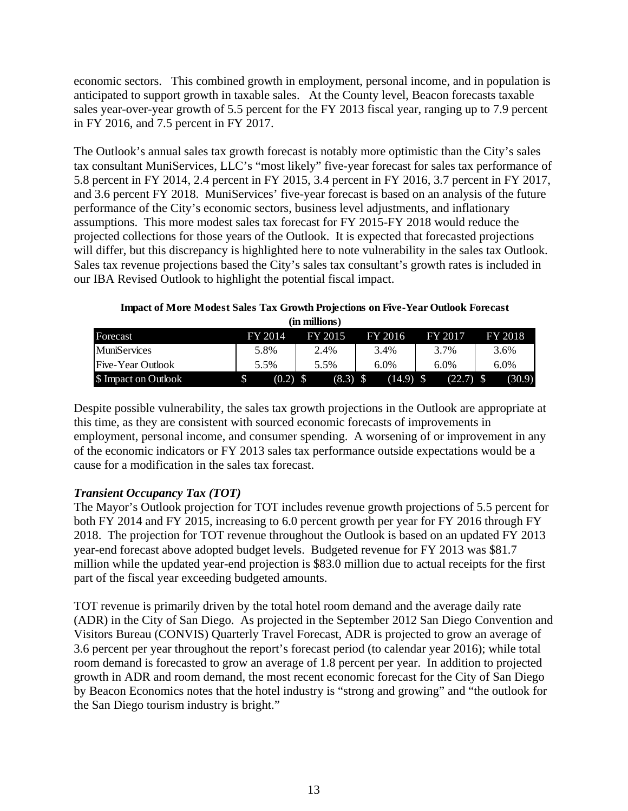economic sectors. This combined growth in employment, personal income, and in population is anticipated to support growth in taxable sales. At the County level, Beacon forecasts taxable sales year-over-year growth of 5.5 percent for the FY 2013 fiscal year, ranging up to 7.9 percent in FY 2016, and 7.5 percent in FY 2017.

The Outlook's annual sales tax growth forecast is notably more optimistic than the City's sales tax consultant MuniServices, LLC's "most likely" five-year forecast for sales tax performance of 5.8 percent in FY 2014, 2.4 percent in FY 2015, 3.4 percent in FY 2016, 3.7 percent in FY 2017, and 3.6 percent FY 2018. MuniServices' five-year forecast is based on an analysis of the future performance of the City's economic sectors, business level adjustments, and inflationary assumptions. This more modest sales tax forecast for FY 2015-FY 2018 would reduce the projected collections for those years of the Outlook. It is expected that forecasted projections will differ, but this discrepancy is highlighted here to note vulnerability in the sales tax Outlook. Sales tax revenue projections based the City's sales tax consultant's growth rates is included in our IBA Revised Outlook to highlight the potential fiscal impact.

**Impact of More Modest Sales Tax Growth Projections on Five-Year Outlook Forecast (in millions)**

| Forecast             | FY 2014 | FY 2015 | FY 2016     | FY 2017     | FY 2018 |
|----------------------|---------|---------|-------------|-------------|---------|
| <b>MuniServices</b>  | 5.8%    | 2.4%    | 3.4%        | 3.7%        | 3.6%    |
| Five-Year Outlook    | 5.5%    | 5.5%    | $6.0\%$     | $6.0\%$     | $6.0\%$ |
| \$ Impact on Outlook | (0.2)   | (8.3)   | $(14.9)$ \$ | $(22.7)$ \$ | (30.9)  |

Despite possible vulnerability, the sales tax growth projections in the Outlook are appropriate at this time, as they are consistent with sourced economic forecasts of improvements in employment, personal income, and consumer spending. A worsening of or improvement in any of the economic indicators or FY 2013 sales tax performance outside expectations would be a cause for a modification in the sales tax forecast.

## *Transient Occupancy Tax (TOT)*

The Mayor's Outlook projection for TOT includes revenue growth projections of 5.5 percent for both FY 2014 and FY 2015, increasing to 6.0 percent growth per year for FY 2016 through FY 2018. The projection for TOT revenue throughout the Outlook is based on an updated FY 2013 year-end forecast above adopted budget levels. Budgeted revenue for FY 2013 was \$81.7 million while the updated year-end projection is \$83.0 million due to actual receipts for the first part of the fiscal year exceeding budgeted amounts.

TOT revenue is primarily driven by the total hotel room demand and the average daily rate (ADR) in the City of San Diego. As projected in the September 2012 San Diego Convention and Visitors Bureau (CONVIS) Quarterly Travel Forecast, ADR is projected to grow an average of 3.6 percent per year throughout the report's forecast period (to calendar year 2016); while total room demand is forecasted to grow an average of 1.8 percent per year. In addition to projected growth in ADR and room demand, the most recent economic forecast for the City of San Diego by Beacon Economics notes that the hotel industry is "strong and growing" and "the outlook for the San Diego tourism industry is bright."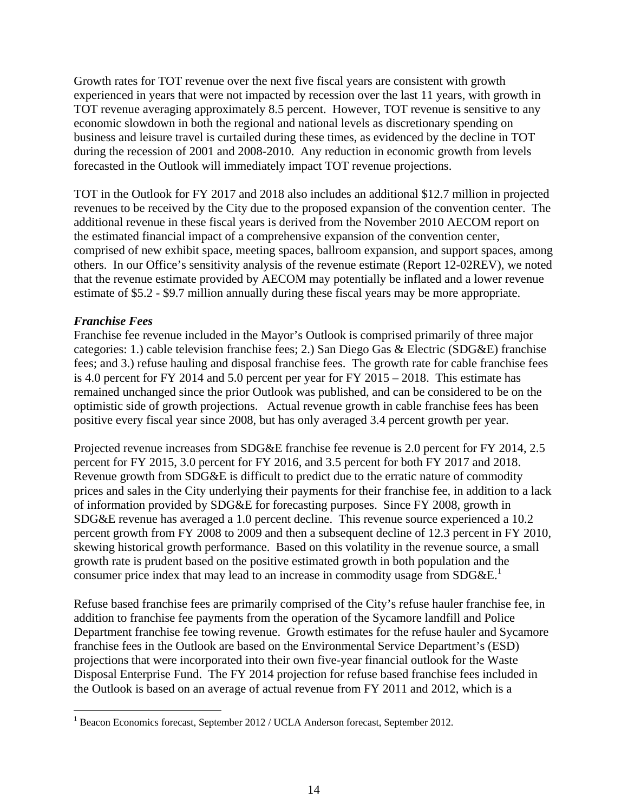Growth rates for TOT revenue over the next five fiscal years are consistent with growth experienced in years that were not impacted by recession over the last 11 years, with growth in TOT revenue averaging approximately 8.5 percent. However, TOT revenue is sensitive to any economic slowdown in both the regional and national levels as discretionary spending on business and leisure travel is curtailed during these times, as evidenced by the decline in TOT during the recession of 2001 and 2008-2010. Any reduction in economic growth from levels forecasted in the Outlook will immediately impact TOT revenue projections.

TOT in the Outlook for FY 2017 and 2018 also includes an additional \$12.7 million in projected revenues to be received by the City due to the proposed expansion of the convention center. The additional revenue in these fiscal years is derived from the November 2010 AECOM report on the estimated financial impact of a comprehensive expansion of the convention center, comprised of new exhibit space, meeting spaces, ballroom expansion, and support spaces, among others. In our Office's sensitivity analysis of the revenue estimate (Report 12-02REV), we noted that the revenue estimate provided by AECOM may potentially be inflated and a lower revenue estimate of \$5.2 - \$9.7 million annually during these fiscal years may be more appropriate.

## *Franchise Fees*

Franchise fee revenue included in the Mayor's Outlook is comprised primarily of three major categories: 1.) cable television franchise fees; 2.) San Diego Gas & Electric (SDG&E) franchise fees; and 3.) refuse hauling and disposal franchise fees. The growth rate for cable franchise fees is 4.0 percent for FY 2014 and 5.0 percent per year for FY 2015 – 2018. This estimate has remained unchanged since the prior Outlook was published, and can be considered to be on the optimistic side of growth projections. Actual revenue growth in cable franchise fees has been positive every fiscal year since 2008, but has only averaged 3.4 percent growth per year.

Projected revenue increases from SDG&E franchise fee revenue is 2.0 percent for FY 2014, 2.5 percent for FY 2015, 3.0 percent for FY 2016, and 3.5 percent for both FY 2017 and 2018. Revenue growth from SDG&E is difficult to predict due to the erratic nature of commodity prices and sales in the City underlying their payments for their franchise fee, in addition to a lack of information provided by SDG&E for forecasting purposes. Since FY 2008, growth in SDG&E revenue has averaged a 1.0 percent decline. This revenue source experienced a 10.2 percent growth from FY 2008 to 2009 and then a subsequent decline of 12.3 percent in FY 2010, skewing historical growth performance. Based on this volatility in the revenue source, a small growth rate is prudent based on the positive estimated growth in both population and the consumer price index that may lead to an increase in commodity usage from  $SDG\&E$ <sup>1</sup>

Refuse based franchise fees are primarily comprised of the City's refuse hauler franchise fee, in addition to franchise fee payments from the operation of the Sycamore landfill and Police Department franchise fee towing revenue. Growth estimates for the refuse hauler and Sycamore franchise fees in the Outlook are based on the Environmental Service Department's (ESD) projections that were incorporated into their own five-year financial outlook for the Waste Disposal Enterprise Fund. The FY 2014 projection for refuse based franchise fees included in the Outlook is based on an average of actual revenue from FY 2011 and 2012, which is a

 1 Beacon Economics forecast, September 2012 / UCLA Anderson forecast, September 2012.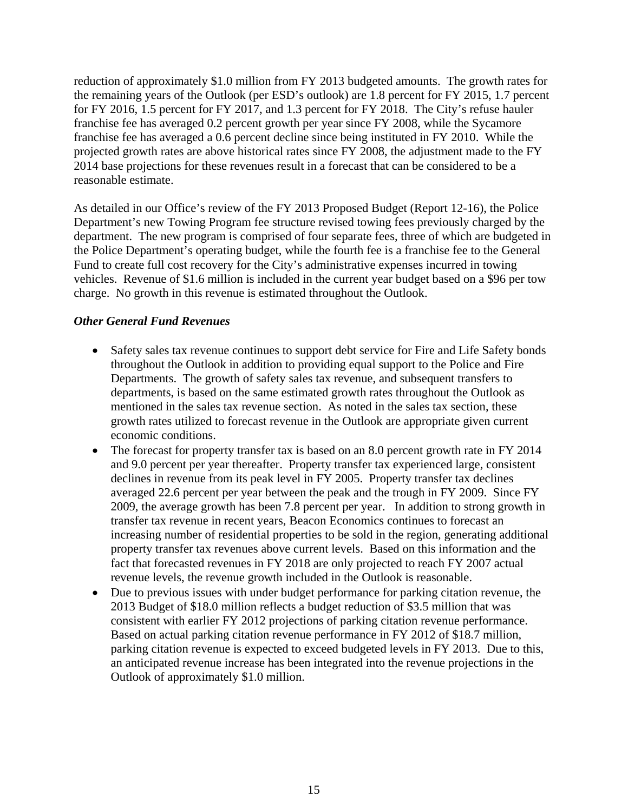reduction of approximately \$1.0 million from FY 2013 budgeted amounts. The growth rates for the remaining years of the Outlook (per ESD's outlook) are 1.8 percent for FY 2015, 1.7 percent for FY 2016, 1.5 percent for FY 2017, and 1.3 percent for FY 2018. The City's refuse hauler franchise fee has averaged 0.2 percent growth per year since FY 2008, while the Sycamore franchise fee has averaged a 0.6 percent decline since being instituted in FY 2010. While the projected growth rates are above historical rates since FY 2008, the adjustment made to the FY 2014 base projections for these revenues result in a forecast that can be considered to be a reasonable estimate.

As detailed in our Office's review of the FY 2013 Proposed Budget (Report 12-16), the Police Department's new Towing Program fee structure revised towing fees previously charged by the department. The new program is comprised of four separate fees, three of which are budgeted in the Police Department's operating budget, while the fourth fee is a franchise fee to the General Fund to create full cost recovery for the City's administrative expenses incurred in towing vehicles. Revenue of \$1.6 million is included in the current year budget based on a \$96 per tow charge. No growth in this revenue is estimated throughout the Outlook.

## *Other General Fund Revenues*

- Safety sales tax revenue continues to support debt service for Fire and Life Safety bonds throughout the Outlook in addition to providing equal support to the Police and Fire Departments. The growth of safety sales tax revenue, and subsequent transfers to departments, is based on the same estimated growth rates throughout the Outlook as mentioned in the sales tax revenue section. As noted in the sales tax section, these growth rates utilized to forecast revenue in the Outlook are appropriate given current economic conditions.
- The forecast for property transfer tax is based on an 8.0 percent growth rate in FY 2014 and 9.0 percent per year thereafter. Property transfer tax experienced large, consistent declines in revenue from its peak level in FY 2005. Property transfer tax declines averaged 22.6 percent per year between the peak and the trough in FY 2009. Since FY 2009, the average growth has been 7.8 percent per year. In addition to strong growth in transfer tax revenue in recent years, Beacon Economics continues to forecast an increasing number of residential properties to be sold in the region, generating additional property transfer tax revenues above current levels. Based on this information and the fact that forecasted revenues in FY 2018 are only projected to reach FY 2007 actual revenue levels, the revenue growth included in the Outlook is reasonable.
- Due to previous issues with under budget performance for parking citation revenue, the 2013 Budget of \$18.0 million reflects a budget reduction of \$3.5 million that was consistent with earlier FY 2012 projections of parking citation revenue performance. Based on actual parking citation revenue performance in FY 2012 of \$18.7 million, parking citation revenue is expected to exceed budgeted levels in FY 2013. Due to this, an anticipated revenue increase has been integrated into the revenue projections in the Outlook of approximately \$1.0 million.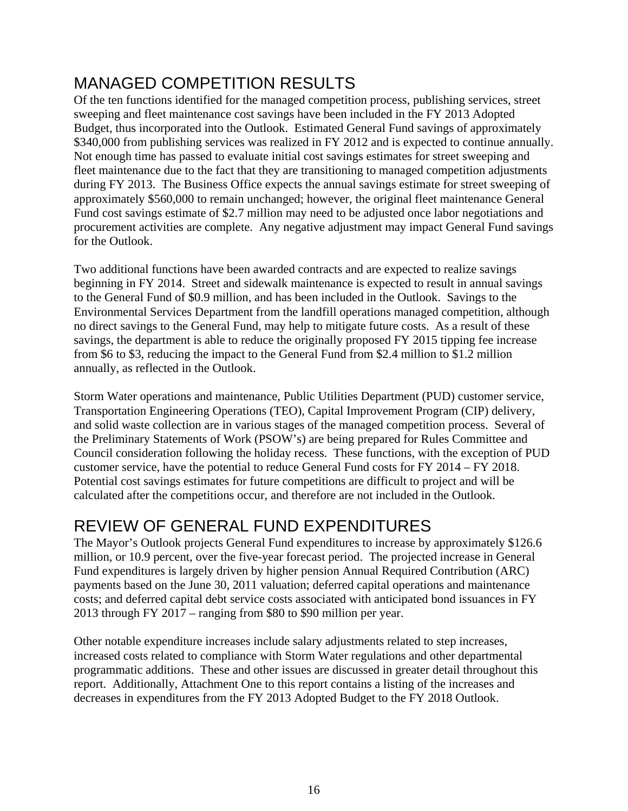# MANAGED COMPETITION RESULTS

Of the ten functions identified for the managed competition process, publishing services, street sweeping and fleet maintenance cost savings have been included in the FY 2013 Adopted Budget, thus incorporated into the Outlook. Estimated General Fund savings of approximately \$340,000 from publishing services was realized in FY 2012 and is expected to continue annually. Not enough time has passed to evaluate initial cost savings estimates for street sweeping and fleet maintenance due to the fact that they are transitioning to managed competition adjustments during FY 2013. The Business Office expects the annual savings estimate for street sweeping of approximately \$560,000 to remain unchanged; however, the original fleet maintenance General Fund cost savings estimate of \$2.7 million may need to be adjusted once labor negotiations and procurement activities are complete. Any negative adjustment may impact General Fund savings for the Outlook.

Two additional functions have been awarded contracts and are expected to realize savings beginning in FY 2014. Street and sidewalk maintenance is expected to result in annual savings to the General Fund of \$0.9 million, and has been included in the Outlook. Savings to the Environmental Services Department from the landfill operations managed competition, although no direct savings to the General Fund, may help to mitigate future costs. As a result of these savings, the department is able to reduce the originally proposed FY 2015 tipping fee increase from \$6 to \$3, reducing the impact to the General Fund from \$2.4 million to \$1.2 million annually, as reflected in the Outlook.

Storm Water operations and maintenance, Public Utilities Department (PUD) customer service, Transportation Engineering Operations (TEO), Capital Improvement Program (CIP) delivery, and solid waste collection are in various stages of the managed competition process. Several of the Preliminary Statements of Work (PSOW's) are being prepared for Rules Committee and Council consideration following the holiday recess. These functions, with the exception of PUD customer service, have the potential to reduce General Fund costs for FY 2014 – FY 2018. Potential cost savings estimates for future competitions are difficult to project and will be calculated after the competitions occur, and therefore are not included in the Outlook.

# REVIEW OF GENERAL FUND EXPENDITURES

The Mayor's Outlook projects General Fund expenditures to increase by approximately \$126.6 million, or 10.9 percent, over the five-year forecast period. The projected increase in General Fund expenditures is largely driven by higher pension Annual Required Contribution (ARC) payments based on the June 30, 2011 valuation; deferred capital operations and maintenance costs; and deferred capital debt service costs associated with anticipated bond issuances in FY 2013 through FY 2017 – ranging from \$80 to \$90 million per year.

Other notable expenditure increases include salary adjustments related to step increases, increased costs related to compliance with Storm Water regulations and other departmental programmatic additions. These and other issues are discussed in greater detail throughout this report. Additionally, Attachment One to this report contains a listing of the increases and decreases in expenditures from the FY 2013 Adopted Budget to the FY 2018 Outlook.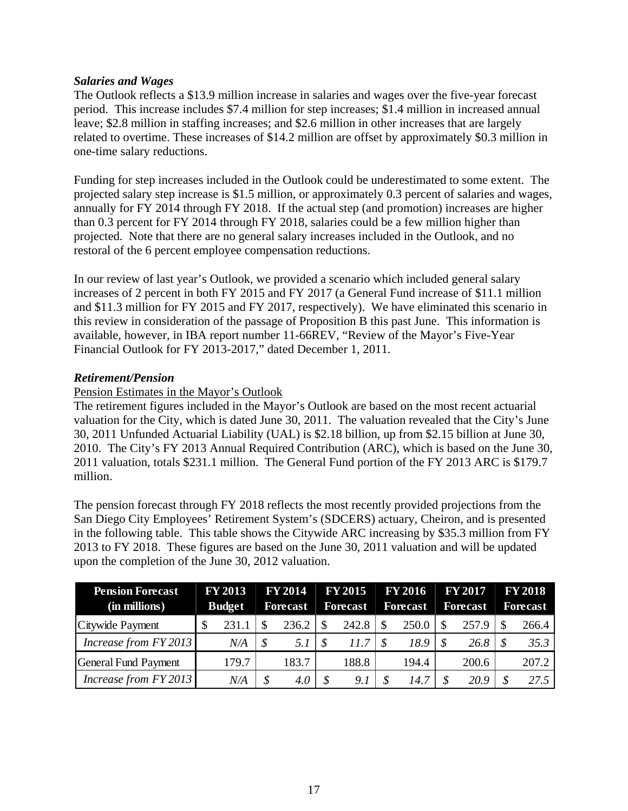## *Salaries and Wages*

The Outlook reflects a \$13.9 million increase in salaries and wages over the five-year forecast period. This increase includes \$7.4 million for step increases; \$1.4 million in increased annual leave; \$2.8 million in staffing increases; and \$2.6 million in other increases that are largely related to overtime. These increases of \$14.2 million are offset by approximately \$0.3 million in one-time salary reductions.

Funding for step increases included in the Outlook could be underestimated to some extent. The projected salary step increase is \$1.5 million, or approximately 0.3 percent of salaries and wages, annually for FY 2014 through FY 2018. If the actual step (and promotion) increases are higher than 0.3 percent for FY 2014 through FY 2018, salaries could be a few million higher than projected. Note that there are no general salary increases included in the Outlook, and no restoral of the 6 percent employee compensation reductions.

In our review of last year's Outlook, we provided a scenario which included general salary increases of 2 percent in both FY 2015 and FY 2017 (a General Fund increase of \$11.1 million and \$11.3 million for FY 2015 and FY 2017, respectively). We have eliminated this scenario in this review in consideration of the passage of Proposition B this past June. This information is available, however, in IBA report number 11-66REV, "Review of the Mayor's Five-Year Financial Outlook for FY 2013-2017," dated December 1, 2011.

## *Retirement/Pension*

## Pension Estimates in the Mayor's Outlook

The retirement figures included in the Mayor's Outlook are based on the most recent actuarial valuation for the City, which is dated June 30, 2011. The valuation revealed that the City's June 30, 2011 Unfunded Actuarial Liability (UAL) is \$2.18 billion, up from \$2.15 billion at June 30, 2010. The City's FY 2013 Annual Required Contribution (ARC), which is based on the June 30, 2011 valuation, totals \$231.1 million. The General Fund portion of the FY 2013 ARC is \$179.7 million.

The pension forecast through FY 2018 reflects the most recently provided projections from the San Diego City Employees' Retirement System's (SDCERS) actuary, Cheiron, and is presented in the following table. This table shows the Citywide ARC increasing by \$35.3 million from FY 2013 to FY 2018. These figures are based on the June 30, 2011 valuation and will be updated upon the completion of the June 30, 2012 valuation.

| <b>Pension Forecast</b> | <b>FY 2013</b> |  | <b>FY 2014</b>  |  | <b>FY 2015</b>  |  | <b>FY 2016</b>  |  | <b>FY 2017</b>  | <b>FY 2018</b> |                 |  |
|-------------------------|----------------|--|-----------------|--|-----------------|--|-----------------|--|-----------------|----------------|-----------------|--|
| (in millions)           | <b>Budget</b>  |  | <b>Forecast</b> |  | <b>Forecast</b> |  | <b>Forecast</b> |  | <b>Forecast</b> |                | <b>Forecast</b> |  |
| Citywide Payment        | 231.1          |  | 236.2           |  | 242.8           |  | 250.0           |  | 257.9           |                | 266.4           |  |
| Increase from FY 2013   | N/A            |  |                 |  | 11.7            |  | 18.9            |  | 26.8            |                | 35.3            |  |
| General Fund Payment    | 179.7          |  | 183.7           |  | 188.8           |  | 194.4           |  | 200.6           |                | 207.2           |  |
| Increase from FY 2013   | N/A            |  | 4.0             |  | 9.1             |  | 14.7            |  | 20.9            |                | 27.5            |  |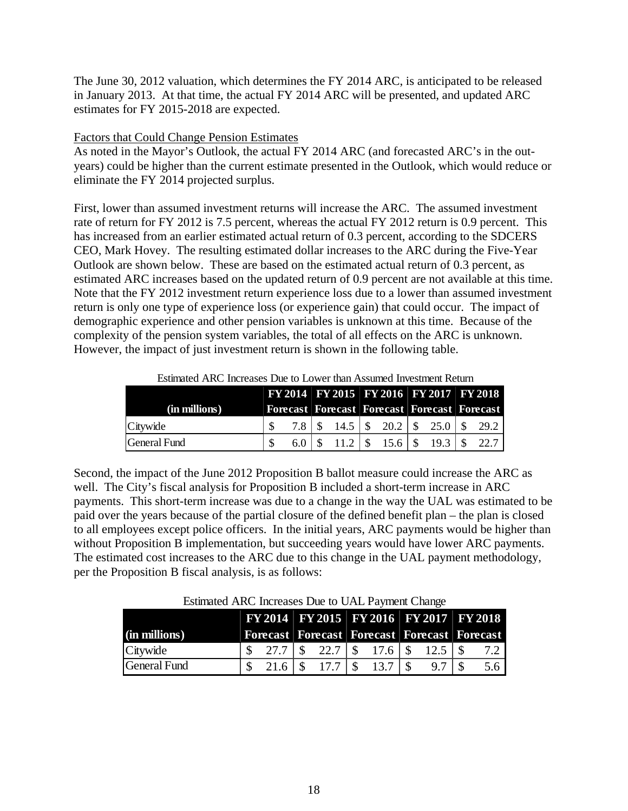The June 30, 2012 valuation, which determines the FY 2014 ARC, is anticipated to be released in January 2013. At that time, the actual FY 2014 ARC will be presented, and updated ARC estimates for FY 2015-2018 are expected.

## Factors that Could Change Pension Estimates

**(in millions)**

As noted in the Mayor's Outlook, the actual FY 2014 ARC (and forecasted ARC's in the outyears) could be higher than the current estimate presented in the Outlook, which would reduce or eliminate the FY 2014 projected surplus.

First, lower than assumed investment returns will increase the ARC. The assumed investment rate of return for FY 2012 is 7.5 percent, whereas the actual FY 2012 return is 0.9 percent. This has increased from an earlier estimated actual return of 0.3 percent, according to the SDCERS CEO, Mark Hovey. The resulting estimated dollar increases to the ARC during the Five-Year Outlook are shown below. These are based on the estimated actual return of 0.3 percent, as estimated ARC increases based on the updated return of 0.9 percent are not available at this time. Note that the FY 2012 investment return experience loss due to a lower than assumed investment return is only one type of experience loss (or experience gain) that could occur. The impact of demographic experience and other pension variables is unknown at this time. Because of the complexity of the pension system variables, the total of all effects on the ARC is unknown. However, the impact of just investment return is shown in the following table.

|               |                      |  |  |  |                                                      | FY 2014   FY 2015   FY 2016   FY 2017   FY 2018       |  |
|---------------|----------------------|--|--|--|------------------------------------------------------|-------------------------------------------------------|--|
| (in millions) |                      |  |  |  | Forecast   Forecast   Forecast   Forecast   Forecast |                                                       |  |
| Citywide      |                      |  |  |  |                                                      | 7.8 \ \ \$ 14.5 \ \ \$ 20.2 \ \ \$ 25.0 \ \ \$ 29.2 \ |  |
| General Fund  | $6.0 \pm \text{\ss}$ |  |  |  |                                                      | $11.2$   \$ 15.6   \$ 19.3   \$ 22.7                  |  |

Estimated ARC Increases Due to Lower than Assumed Investment Return

Second, the impact of the June 2012 Proposition B ballot measure could increase the ARC as well. The City's fiscal analysis for Proposition B included a short-term increase in ARC payments. This short-term increase was due to a change in the way the UAL was estimated to be paid over the years because of the partial closure of the defined benefit plan – the plan is closed to all employees except police officers. In the initial years, ARC payments would be higher than without Proposition B implementation, but succeeding years would have lower ARC payments. The estimated cost increases to the ARC due to this change in the UAL payment methodology, per the Proposition B fiscal analysis, is as follows:

| Lournated Time Hierouses Due to CTILT a fine in Change |                                                      |                                                |  |  |  |  |  |  |  |  |
|--------------------------------------------------------|------------------------------------------------------|------------------------------------------------|--|--|--|--|--|--|--|--|
|                                                        |                                                      | <b>FY 2014 FY 2015 FY 2016 FY 2017 FY 2018</b> |  |  |  |  |  |  |  |  |
| millions)                                              | Forecast   Forecast   Forecast   Forecast   Forecast |                                                |  |  |  |  |  |  |  |  |

Citywide 27.7 \$ 22.7 \$ 17.6 \$ 12.5 \$ 7.2 \$ General Fund \$ 17.7 21.6 \$ 13.7 \$ 9.7 \$ 5.6 \$

Estimated ARC Increases Due to UAL Payment Change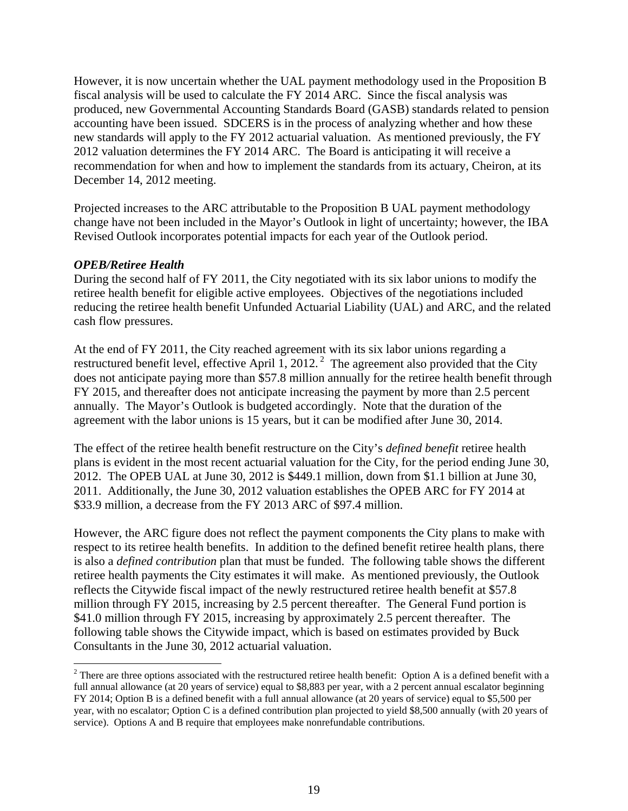However, it is now uncertain whether the UAL payment methodology used in the Proposition B fiscal analysis will be used to calculate the FY 2014 ARC. Since the fiscal analysis was produced, new Governmental Accounting Standards Board (GASB) standards related to pension accounting have been issued. SDCERS is in the process of analyzing whether and how these new standards will apply to the FY 2012 actuarial valuation. As mentioned previously, the FY 2012 valuation determines the FY 2014 ARC. The Board is anticipating it will receive a recommendation for when and how to implement the standards from its actuary, Cheiron, at its December 14, 2012 meeting.

Projected increases to the ARC attributable to the Proposition B UAL payment methodology change have not been included in the Mayor's Outlook in light of uncertainty; however, the IBA Revised Outlook incorporates potential impacts for each year of the Outlook period.

## *OPEB/Retiree Health*

 $\overline{a}$ 

During the second half of FY 2011, the City negotiated with its six labor unions to modify the retiree health benefit for eligible active employees. Objectives of the negotiations included reducing the retiree health benefit Unfunded Actuarial Liability (UAL) and ARC, and the related cash flow pressures.

At the end of FY 2011, the City reached agreement with its six labor unions regarding a restructured benefit level, effective April 1, 2012.<sup>2</sup> The agreement also provided that the City does not anticipate paying more than \$57.8 million annually for the retiree health benefit through FY 2015, and thereafter does not anticipate increasing the payment by more than 2.5 percent annually. The Mayor's Outlook is budgeted accordingly. Note that the duration of the agreement with the labor unions is 15 years, but it can be modified after June 30, 2014.

The effect of the retiree health benefit restructure on the City's *defined benefit* retiree health plans is evident in the most recent actuarial valuation for the City, for the period ending June 30, 2012. The OPEB UAL at June 30, 2012 is \$449.1 million, down from \$1.1 billion at June 30, 2011. Additionally, the June 30, 2012 valuation establishes the OPEB ARC for FY 2014 at \$33.9 million, a decrease from the FY 2013 ARC of \$97.4 million.

However, the ARC figure does not reflect the payment components the City plans to make with respect to its retiree health benefits. In addition to the defined benefit retiree health plans, there is also a *defined contribution* plan that must be funded. The following table shows the different retiree health payments the City estimates it will make. As mentioned previously, the Outlook reflects the Citywide fiscal impact of the newly restructured retiree health benefit at \$57.8 million through FY 2015, increasing by 2.5 percent thereafter. The General Fund portion is \$41.0 million through FY 2015, increasing by approximately 2.5 percent thereafter. The following table shows the Citywide impact, which is based on estimates provided by Buck Consultants in the June 30, 2012 actuarial valuation.

<sup>&</sup>lt;sup>2</sup> There are three options associated with the restructured retiree health benefit: Option A is a defined benefit with a full annual allowance (at 20 years of service) equal to \$8,883 per year, with a 2 percent annual escalator beginning FY 2014; Option B is a defined benefit with a full annual allowance (at 20 years of service) equal to \$5,500 per year, with no escalator; Option C is a defined contribution plan projected to yield \$8,500 annually (with 20 years of service). Options A and B require that employees make nonrefundable contributions.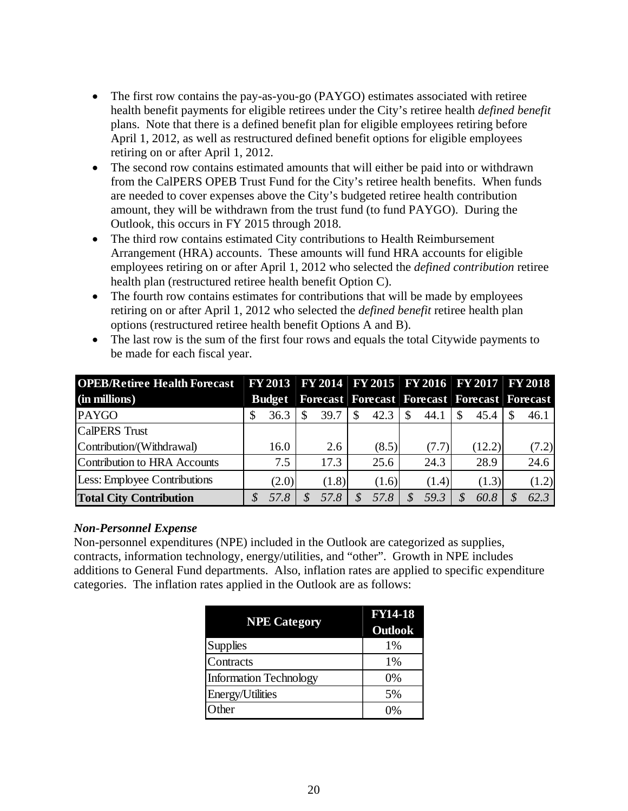- The first row contains the pay-as-you-go (PAYGO) estimates associated with retiree health benefit payments for eligible retirees under the City's retiree health *defined benefit* plans. Note that there is a defined benefit plan for eligible employees retiring before April 1, 2012, as well as restructured defined benefit options for eligible employees retiring on or after April 1, 2012.
- The second row contains estimated amounts that will either be paid into or withdrawn from the CalPERS OPEB Trust Fund for the City's retiree health benefits. When funds are needed to cover expenses above the City's budgeted retiree health contribution amount, they will be withdrawn from the trust fund (to fund PAYGO). During the Outlook, this occurs in FY 2015 through 2018.
- The third row contains estimated City contributions to Health Reimbursement Arrangement (HRA) accounts. These amounts will fund HRA accounts for eligible employees retiring on or after April 1, 2012 who selected the *defined contribution* retiree health plan (restructured retiree health benefit Option C).
- The fourth row contains estimates for contributions that will be made by employees retiring on or after April 1, 2012 who selected the *defined benefit* retiree health plan options (restructured retiree health benefit Options A and B).

| <b>OPEB/Retiree Health Forecast</b> |               |  |       |          |       |  |       |     | FY 2013   FY 2014   FY 2015   FY 2016   FY 2017   FY 2018     |  |       |  |
|-------------------------------------|---------------|--|-------|----------|-------|--|-------|-----|---------------------------------------------------------------|--|-------|--|
| (in millions)                       | <b>Budget</b> |  |       |          |       |  |       |     | <b>Forecast   Forecast   Forecast   Forecast   Forecast  </b> |  |       |  |
| <b>PAYGO</b>                        | 36.3          |  | 39.7  | <b>S</b> | 42.3  |  | 44.1  | \$. | 45.4                                                          |  | 46.1  |  |
| <b>CalPERS</b> Trust                |               |  |       |          |       |  |       |     |                                                               |  |       |  |
| Contribution/(Withdrawal)           | 16.0          |  | 2.6   |          | (8.5) |  | (7.7) |     | (12.2)                                                        |  | (7.2) |  |
| Contribution to HRA Accounts        | 7.5           |  | 17.3  |          | 25.6  |  | 24.3  |     | 28.9                                                          |  | 24.6  |  |
| <b>Less: Employee Contributions</b> | (2.0)         |  | (1.8) |          | (1.6) |  | (1.4) |     | (1.3)                                                         |  | (1.2) |  |
| <b>Total City Contribution</b>      | 57.8          |  | 57.8  |          | 57.8  |  | 59.3  |     | 60.8                                                          |  | 62.3  |  |

• The last row is the sum of the first four rows and equals the total Citywide payments to be made for each fiscal year.

## *Non-Personnel Expense*

Non-personnel expenditures (NPE) included in the Outlook are categorized as supplies, contracts, information technology, energy/utilities, and "other". Growth in NPE includes additions to General Fund departments. Also, inflation rates are applied to specific expenditure categories. The inflation rates applied in the Outlook are as follows:

| <b>NPE</b> Category           | <b>FY14-18</b><br>Outlook |
|-------------------------------|---------------------------|
| <b>Supplies</b>               | 1%                        |
| Contracts                     | 1%                        |
| <b>Information Technology</b> | 0%                        |
| Energy/Utilities              | 5%                        |
| Other                         | $0\%$                     |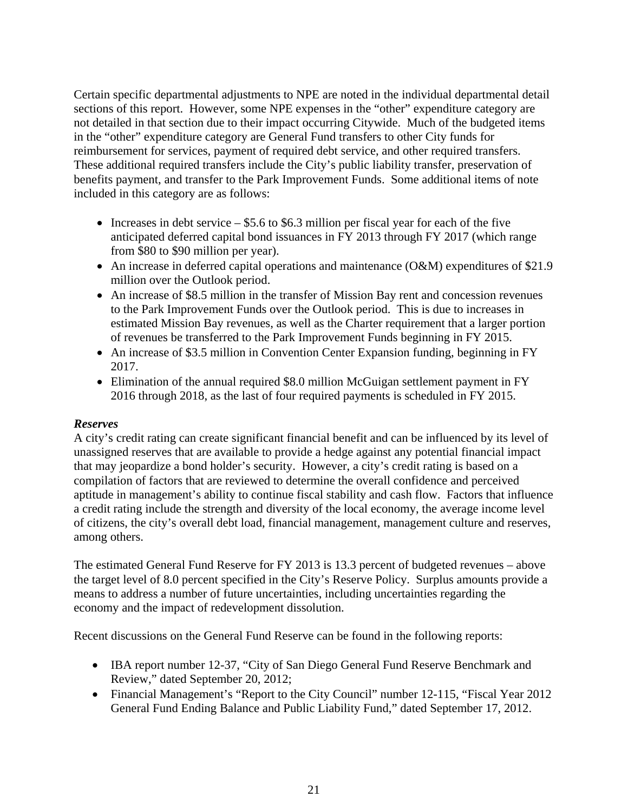Certain specific departmental adjustments to NPE are noted in the individual departmental detail sections of this report. However, some NPE expenses in the "other" expenditure category are not detailed in that section due to their impact occurring Citywide. Much of the budgeted items in the "other" expenditure category are General Fund transfers to other City funds for reimbursement for services, payment of required debt service, and other required transfers. These additional required transfers include the City's public liability transfer, preservation of benefits payment, and transfer to the Park Improvement Funds. Some additional items of note included in this category are as follows:

- Increases in debt service  $-$  \$5.6 to \$6.3 million per fiscal year for each of the five anticipated deferred capital bond issuances in FY 2013 through FY 2017 (which range from \$80 to \$90 million per year).
- An increase in deferred capital operations and maintenance (O&M) expenditures of \$21.9 million over the Outlook period.
- An increase of \$8.5 million in the transfer of Mission Bay rent and concession revenues to the Park Improvement Funds over the Outlook period. This is due to increases in estimated Mission Bay revenues, as well as the Charter requirement that a larger portion of revenues be transferred to the Park Improvement Funds beginning in FY 2015.
- An increase of \$3.5 million in Convention Center Expansion funding, beginning in FY 2017.
- Elimination of the annual required \$8.0 million McGuigan settlement payment in FY 2016 through 2018, as the last of four required payments is scheduled in FY 2015.

## *Reserves*

A city's credit rating can create significant financial benefit and can be influenced by its level of unassigned reserves that are available to provide a hedge against any potential financial impact that may jeopardize a bond holder's security. However, a city's credit rating is based on a compilation of factors that are reviewed to determine the overall confidence and perceived aptitude in management's ability to continue fiscal stability and cash flow. Factors that influence a credit rating include the strength and diversity of the local economy, the average income level of citizens, the city's overall debt load, financial management, management culture and reserves, among others.

The estimated General Fund Reserve for FY 2013 is 13.3 percent of budgeted revenues – above the target level of 8.0 percent specified in the City's Reserve Policy. Surplus amounts provide a means to address a number of future uncertainties, including uncertainties regarding the economy and the impact of redevelopment dissolution.

Recent discussions on the General Fund Reserve can be found in the following reports:

- IBA report number 12-37, "City of San Diego General Fund Reserve Benchmark and Review," dated September 20, 2012;
- Financial Management's "Report to the City Council" number 12-115, "Fiscal Year 2012 General Fund Ending Balance and Public Liability Fund," dated September 17, 2012.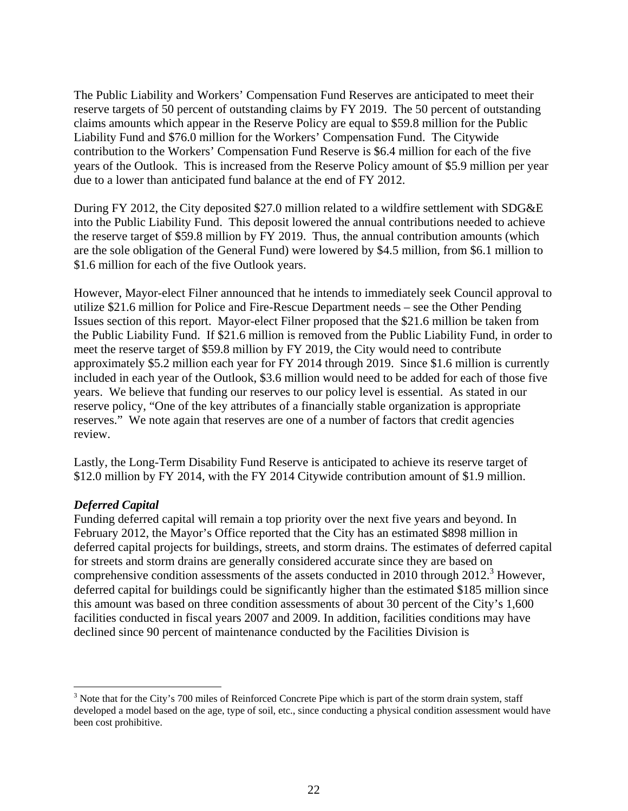The Public Liability and Workers' Compensation Fund Reserves are anticipated to meet their reserve targets of 50 percent of outstanding claims by FY 2019. The 50 percent of outstanding claims amounts which appear in the Reserve Policy are equal to \$59.8 million for the Public Liability Fund and \$76.0 million for the Workers' Compensation Fund. The Citywide contribution to the Workers' Compensation Fund Reserve is \$6.4 million for each of the five years of the Outlook. This is increased from the Reserve Policy amount of \$5.9 million per year due to a lower than anticipated fund balance at the end of FY 2012.

During FY 2012, the City deposited \$27.0 million related to a wildfire settlement with SDG&E into the Public Liability Fund. This deposit lowered the annual contributions needed to achieve the reserve target of \$59.8 million by FY 2019. Thus, the annual contribution amounts (which are the sole obligation of the General Fund) were lowered by \$4.5 million, from \$6.1 million to \$1.6 million for each of the five Outlook years.

However, Mayor-elect Filner announced that he intends to immediately seek Council approval to utilize \$21.6 million for Police and Fire-Rescue Department needs – see the Other Pending Issues section of this report. Mayor-elect Filner proposed that the \$21.6 million be taken from the Public Liability Fund. If \$21.6 million is removed from the Public Liability Fund, in order to meet the reserve target of \$59.8 million by FY 2019, the City would need to contribute approximately \$5.2 million each year for FY 2014 through 2019. Since \$1.6 million is currently included in each year of the Outlook, \$3.6 million would need to be added for each of those five years. We believe that funding our reserves to our policy level is essential. As stated in our reserve policy, "One of the key attributes of a financially stable organization is appropriate reserves." We note again that reserves are one of a number of factors that credit agencies review.

Lastly, the Long-Term Disability Fund Reserve is anticipated to achieve its reserve target of \$12.0 million by FY 2014, with the FY 2014 Citywide contribution amount of \$1.9 million.

## *Deferred Capital*

 $\overline{a}$ 

Funding deferred capital will remain a top priority over the next five years and beyond. In February 2012, the Mayor's Office reported that the City has an estimated \$898 million in deferred capital projects for buildings, streets, and storm drains. The estimates of deferred capital for streets and storm drains are generally considered accurate since they are based on comprehensive condition assessments of the assets conducted in 2010 through 2012.<sup>3</sup> However, deferred capital for buildings could be significantly higher than the estimated \$185 million since this amount was based on three condition assessments of about 30 percent of the City's 1,600 facilities conducted in fiscal years 2007 and 2009. In addition, facilities conditions may have declined since 90 percent of maintenance conducted by the Facilities Division is

 $3$  Note that for the City's 700 miles of Reinforced Concrete Pipe which is part of the storm drain system, staff developed a model based on the age, type of soil, etc., since conducting a physical condition assessment would have been cost prohibitive.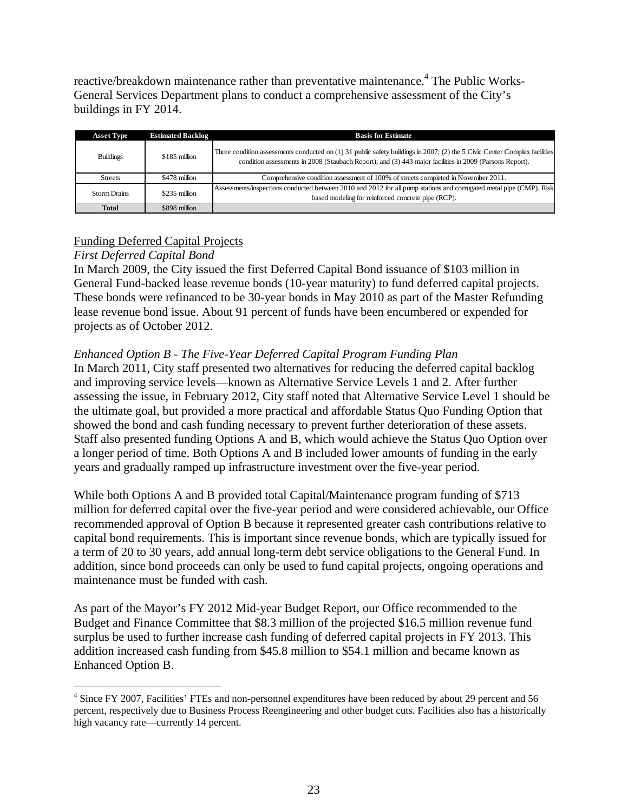reactive/breakdown maintenance rather than preventative maintenance.<sup>4</sup> The Public Works-General Services Department plans to conduct a comprehensive assessment of the City's buildings in FY 2014.

| <b>Asset Type</b>   | <b>Estimated Backlog</b> | <b>Basis for Estimate</b>                                                                                                                                                                                                               |
|---------------------|--------------------------|-----------------------------------------------------------------------------------------------------------------------------------------------------------------------------------------------------------------------------------------|
| <b>Buildings</b>    | \$185 million            | Three condition assessments conducted on $(1)$ 31 public safety buildings in 2007; (2) the 5 Civic Center Complex facilities<br>condition assessments in 2008 (Staubach Report); and (3) 443 major facilities in 2009 (Parsons Report). |
| <b>Streets</b>      | \$478 million            | Comprehensive condition assessment of 100% of streets completed in November 2011.                                                                                                                                                       |
| <b>Storm Drains</b> | \$235 million            | Assessments/inspections conducted between 2010 and 2012 for all pump stations and corrugated metal pipe (CMP). Risk<br>based modeling for reinforced concrete pipe (RCP).                                                               |
| <b>Total</b>        | \$898 million            |                                                                                                                                                                                                                                         |

## Funding Deferred Capital Projects

## *First Deferred Capital Bond*

 $\overline{a}$ 

In March 2009, the City issued the first Deferred Capital Bond issuance of \$103 million in General Fund-backed lease revenue bonds (10-year maturity) to fund deferred capital projects. These bonds were refinanced to be 30-year bonds in May 2010 as part of the Master Refunding lease revenue bond issue. About 91 percent of funds have been encumbered or expended for projects as of October 2012.

## *Enhanced Option B - The Five-Year Deferred Capital Program Funding Plan*

In March 2011, City staff presented two alternatives for reducing the deferred capital backlog and improving service levels—known as Alternative Service Levels 1 and 2. After further assessing the issue, in February 2012, City staff noted that Alternative Service Level 1 should be the ultimate goal, but provided a more practical and affordable Status Quo Funding Option that showed the bond and cash funding necessary to prevent further deterioration of these assets. Staff also presented funding Options A and B, which would achieve the Status Quo Option over a longer period of time. Both Options A and B included lower amounts of funding in the early years and gradually ramped up infrastructure investment over the five-year period.

While both Options A and B provided total Capital/Maintenance program funding of \$713 million for deferred capital over the five-year period and were considered achievable, our Office recommended approval of Option B because it represented greater cash contributions relative to capital bond requirements. This is important since revenue bonds, which are typically issued for a term of 20 to 30 years, add annual long-term debt service obligations to the General Fund. In addition, since bond proceeds can only be used to fund capital projects, ongoing operations and maintenance must be funded with cash.

As part of the Mayor's FY 2012 Mid-year Budget Report, our Office recommended to the Budget and Finance Committee that \$8.3 million of the projected \$16.5 million revenue fund surplus be used to further increase cash funding of deferred capital projects in FY 2013. This addition increased cash funding from \$45.8 million to \$54.1 million and became known as Enhanced Option B.

<sup>&</sup>lt;sup>4</sup> Since FY 2007, Facilities' FTEs and non-personnel expenditures have been reduced by about 29 percent and 56 percent, respectively due to Business Process Reengineering and other budget cuts. Facilities also has a historically high vacancy rate—currently 14 percent.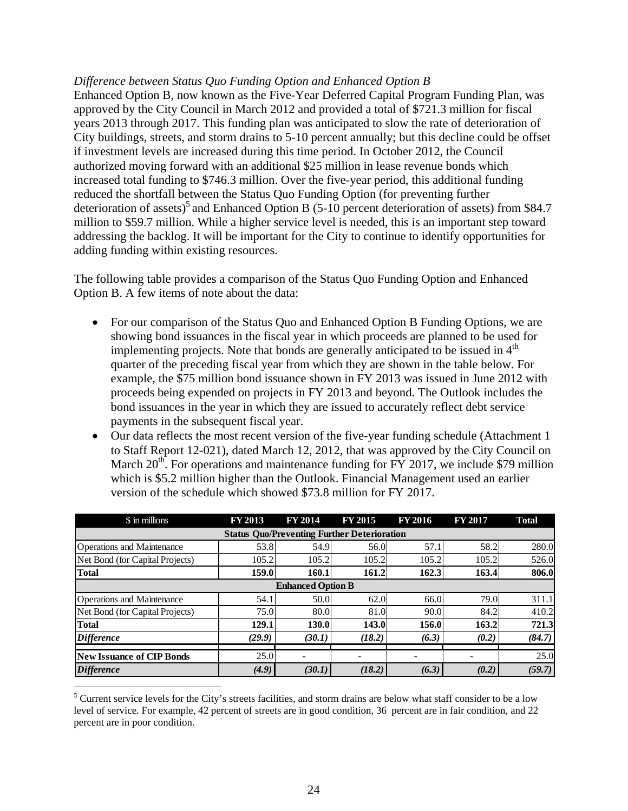## *Difference between Status Quo Funding Option and Enhanced Option B*

Enhanced Option B, now known as the Five-Year Deferred Capital Program Funding Plan, was approved by the City Council in March 2012 and provided a total of \$721.3 million for fiscal years 2013 through 2017. This funding plan was anticipated to slow the rate of deterioration of City buildings, streets, and storm drains to 5-10 percent annually; but this decline could be offset if investment levels are increased during this time period. In October 2012, the Council authorized moving forward with an additional \$25 million in lease revenue bonds which increased total funding to \$746.3 million. Over the five-year period, this additional funding reduced the shortfall between the Status Quo Funding Option (for preventing further deterioration of assets)<sup>5</sup> and Enhanced Option B (5-10 percent deterioration of assets) from \$84.7 million to \$59.7 million. While a higher service level is needed, this is an important step toward addressing the backlog. It will be important for the City to continue to identify opportunities for adding funding within existing resources.

The following table provides a comparison of the Status Quo Funding Option and Enhanced Option B. A few items of note about the data:

- For our comparison of the Status Quo and Enhanced Option B Funding Options, we are showing bond issuances in the fiscal year in which proceeds are planned to be used for implementing projects. Note that bonds are generally anticipated to be issued in  $4<sup>th</sup>$ quarter of the preceding fiscal year from which they are shown in the table below. For example, the \$75 million bond issuance shown in FY 2013 was issued in June 2012 with proceeds being expended on projects in FY 2013 and beyond. The Outlook includes the bond issuances in the year in which they are issued to accurately reflect debt service payments in the subsequent fiscal year.
- Our data reflects the most recent version of the five-year funding schedule (Attachment 1 to Staff Report 12-021), dated March 12, 2012, that was approved by the City Council on March  $20^{th}$ . For operations and maintenance funding for FY 2017, we include \$79 million which is \$5.2 million higher than the Outlook. Financial Management used an earlier version of the schedule which showed \$73.8 million for FY 2017.

| \$ in millions                                     | <b>FY 2013</b> | <b>FY 2014</b> | <b>FY 2015</b> | FY 2016 | <b>FY 2017</b> | <b>Total</b> |  |  |  |  |  |  |  |
|----------------------------------------------------|----------------|----------------|----------------|---------|----------------|--------------|--|--|--|--|--|--|--|
| <b>Status Ouo/Preventing Further Deterioration</b> |                |                |                |         |                |              |  |  |  |  |  |  |  |
| <b>Operations and Maintenance</b>                  | 53.8           | 54.9           | 56.0           | 57.1    | 58.2           | 280.0        |  |  |  |  |  |  |  |
| Net Bond (for Capital Projects)                    | 105.2          | 105.2          | 105.2          | 105.2   | 105.2          | 526.0        |  |  |  |  |  |  |  |
| <b>Total</b>                                       | 159.0          | 160.1          | 161.2          | 162.3   | 163.4          | 806.0        |  |  |  |  |  |  |  |
| <b>Enhanced Option B</b>                           |                |                |                |         |                |              |  |  |  |  |  |  |  |
| <b>Operations and Maintenance</b>                  | 54.1           | 50.0           | 62.0           | 66.0    | 79.0           | 311.1        |  |  |  |  |  |  |  |
| Net Bond (for Capital Projects)                    | 75.0           | 80.0           | 81.0           | 90.0    | 84.2           | 410.2        |  |  |  |  |  |  |  |
| <b>Total</b>                                       | 129.1          | 130.0          | 143.0          | 156.0   | 163.2          | 721.3        |  |  |  |  |  |  |  |
| <i>Difference</i>                                  | (29.9)         | (30.1)         | (18.2)         | (6.3)   | (0.2)          | (84.7)       |  |  |  |  |  |  |  |
| New Issuance of CIP Bonds                          | 25.0           |                |                |         |                | 25.0         |  |  |  |  |  |  |  |
|                                                    |                |                |                |         |                |              |  |  |  |  |  |  |  |
| <b>Difference</b>                                  | (4.9)          | (30.1)         | (18.2)         | (6.3)   | (0.2)          | (59.7)       |  |  |  |  |  |  |  |

 $\overline{a}$  $<sup>5</sup>$  Current service levels for the City's streets facilities, and storm drains are below what staff consider to be a low</sup> level of service. For example, 42 percent of streets are in good condition, 36 percent are in fair condition, and 22 percent are in poor condition.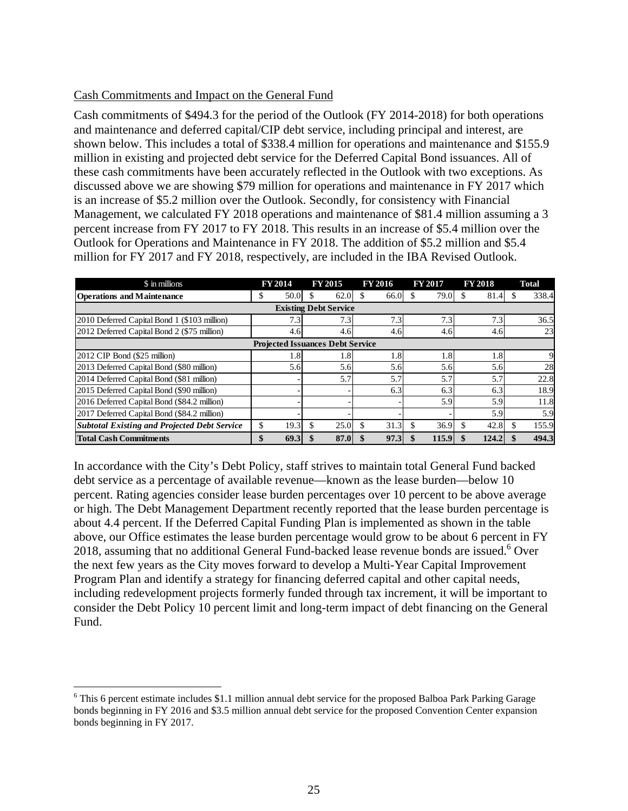## Cash Commitments and Impact on the General Fund

Cash commitments of \$494.3 for the period of the Outlook (FY 2014-2018) for both operations and maintenance and deferred capital/CIP debt service, including principal and interest, are shown below. This includes a total of \$338.4 million for operations and maintenance and \$155.9 million in existing and projected debt service for the Deferred Capital Bond issuances. All of these cash commitments have been accurately reflected in the Outlook with two exceptions. As discussed above we are showing \$79 million for operations and maintenance in FY 2017 which is an increase of \$5.2 million over the Outlook. Secondly, for consistency with Financial Management, we calculated FY 2018 operations and maintenance of \$81.4 million assuming a 3 percent increase from FY 2017 to FY 2018. This results in an increase of \$5.4 million over the Outlook for Operations and Maintenance in FY 2018. The addition of \$5.2 million and \$5.4 million for FY 2017 and FY 2018, respectively, are included in the IBA Revised Outlook.

| \$ in millions                                      | FY 2014   | FY 2015                      | FY 2016 | <b>FY 2017</b> | <b>FY 2018</b> | <b>Total</b> |  |  |  |  |  |  |
|-----------------------------------------------------|-----------|------------------------------|---------|----------------|----------------|--------------|--|--|--|--|--|--|
| <b>Operations and Maintenance</b>                   | 50.0<br>S | 62.0                         | 66.0    | 79.0           | 81.4           | 338.4<br>S.  |  |  |  |  |  |  |
|                                                     |           | <b>Existing Debt Service</b> |         |                |                |              |  |  |  |  |  |  |
| 2010 Deferred Capital Bond 1 (\$103 million)        | 7.3       | 7.3                          | 7.3     | 7.3            | 7.3            | 36.5         |  |  |  |  |  |  |
| 2012 Deferred Capital Bond 2 (\$75 million)         | 4.6       | 4.6                          | 4.6     | 4.6            | 4.6            | 23           |  |  |  |  |  |  |
| <b>Projected Issuances Debt Service</b>             |           |                              |         |                |                |              |  |  |  |  |  |  |
| 2012 CIP Bond (\$25 million)                        | 1.8       | 1.8                          | 1.8     | 1.8            | 1.8            | 9            |  |  |  |  |  |  |
| 2013 Deferred Capital Bond (\$80 million)           | 5.6       | 5.6                          | 5.6     | 5.6            | 5.6            | 28           |  |  |  |  |  |  |
| 2014 Deferred Capital Bond (\$81 million)           |           | 5.7                          | 5.7     | 5.7            | 5.7            | 22.8         |  |  |  |  |  |  |
| 2015 Deferred Capital Bond (\$90 million)           |           |                              | 6.3     | 6.3            | 6.3            | 18.9         |  |  |  |  |  |  |
| 2016 Deferred Capital Bond (\$84.2 million)         |           |                              |         | 5.9            | 5.9            | 11.8         |  |  |  |  |  |  |
| 2017 Deferred Capital Bond (\$84.2 million)         |           |                              |         |                | 5.9            | 5.9          |  |  |  |  |  |  |
| <b>Subtotal Existing and Projected Debt Service</b> | 19.3      | 25.0                         | 31.3    | 36.9           | 42.8           | 155.9<br>S.  |  |  |  |  |  |  |
| <b>Total Cash Commitments</b>                       | 69.3      | 87.0                         | 97.3    | 115.9          | 124.2          | 494.3        |  |  |  |  |  |  |

In accordance with the City's Debt Policy, staff strives to maintain total General Fund backed debt service as a percentage of available revenue—known as the lease burden—below 10 percent. Rating agencies consider lease burden percentages over 10 percent to be above average or high. The Debt Management Department recently reported that the lease burden percentage is about 4.4 percent. If the Deferred Capital Funding Plan is implemented as shown in the table above, our Office estimates the lease burden percentage would grow to be about 6 percent in FY 2018, assuming that no additional General Fund-backed lease revenue bonds are issued.<sup>6</sup> Over the next few years as the City moves forward to develop a Multi-Year Capital Improvement Program Plan and identify a strategy for financing deferred capital and other capital needs, including redevelopment projects formerly funded through tax increment, it will be important to consider the Debt Policy 10 percent limit and long-term impact of debt financing on the General Fund.

1

<sup>&</sup>lt;sup>6</sup> This 6 percent estimate includes \$1.1 million annual debt service for the proposed Balboa Park Parking Garage bonds beginning in FY 2016 and \$3.5 million annual debt service for the proposed Convention Center expansion bonds beginning in FY 2017.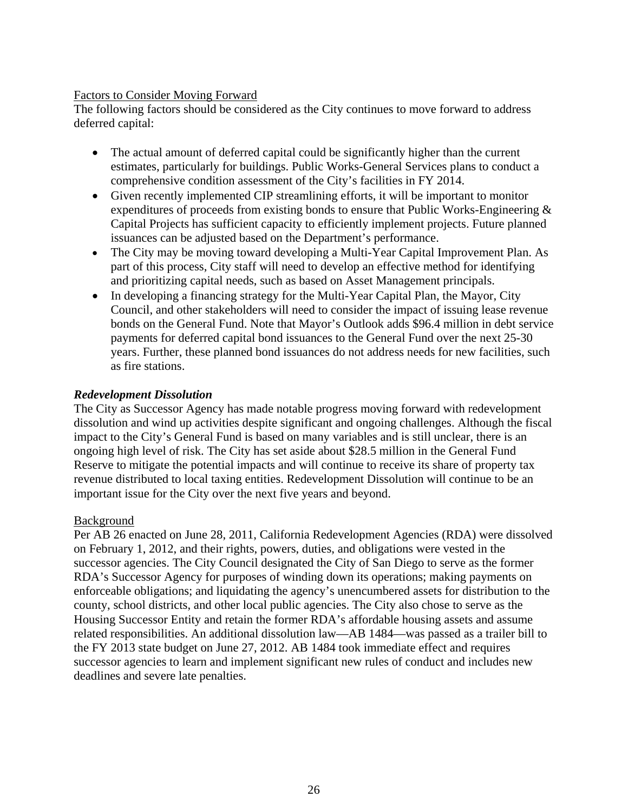## Factors to Consider Moving Forward

The following factors should be considered as the City continues to move forward to address deferred capital:

- The actual amount of deferred capital could be significantly higher than the current estimates, particularly for buildings. Public Works-General Services plans to conduct a comprehensive condition assessment of the City's facilities in FY 2014.
- Given recently implemented CIP streamlining efforts, it will be important to monitor expenditures of proceeds from existing bonds to ensure that Public Works-Engineering  $\&$ Capital Projects has sufficient capacity to efficiently implement projects. Future planned issuances can be adjusted based on the Department's performance.
- The City may be moving toward developing a Multi-Year Capital Improvement Plan. As part of this process, City staff will need to develop an effective method for identifying and prioritizing capital needs, such as based on Asset Management principals.
- In developing a financing strategy for the Multi-Year Capital Plan, the Mayor, City Council, and other stakeholders will need to consider the impact of issuing lease revenue bonds on the General Fund. Note that Mayor's Outlook adds \$96.4 million in debt service payments for deferred capital bond issuances to the General Fund over the next 25-30 years. Further, these planned bond issuances do not address needs for new facilities, such as fire stations.

## *Redevelopment Dissolution*

The City as Successor Agency has made notable progress moving forward with redevelopment dissolution and wind up activities despite significant and ongoing challenges. Although the fiscal impact to the City's General Fund is based on many variables and is still unclear, there is an ongoing high level of risk. The City has set aside about \$28.5 million in the General Fund Reserve to mitigate the potential impacts and will continue to receive its share of property tax revenue distributed to local taxing entities. Redevelopment Dissolution will continue to be an important issue for the City over the next five years and beyond.

## Background

Per AB 26 enacted on June 28, 2011, California Redevelopment Agencies (RDA) were dissolved on February 1, 2012, and their rights, powers, duties, and obligations were vested in the successor agencies. The City Council designated the City of San Diego to serve as the former RDA's Successor Agency for purposes of winding down its operations; making payments on enforceable obligations; and liquidating the agency's unencumbered assets for distribution to the county, school districts, and other local public agencies. The City also chose to serve as the Housing Successor Entity and retain the former RDA's affordable housing assets and assume related responsibilities. An additional dissolution law—AB 1484—was passed as a trailer bill to the FY 2013 state budget on June 27, 2012. AB 1484 took immediate effect and requires successor agencies to learn and implement significant new rules of conduct and includes new deadlines and severe late penalties.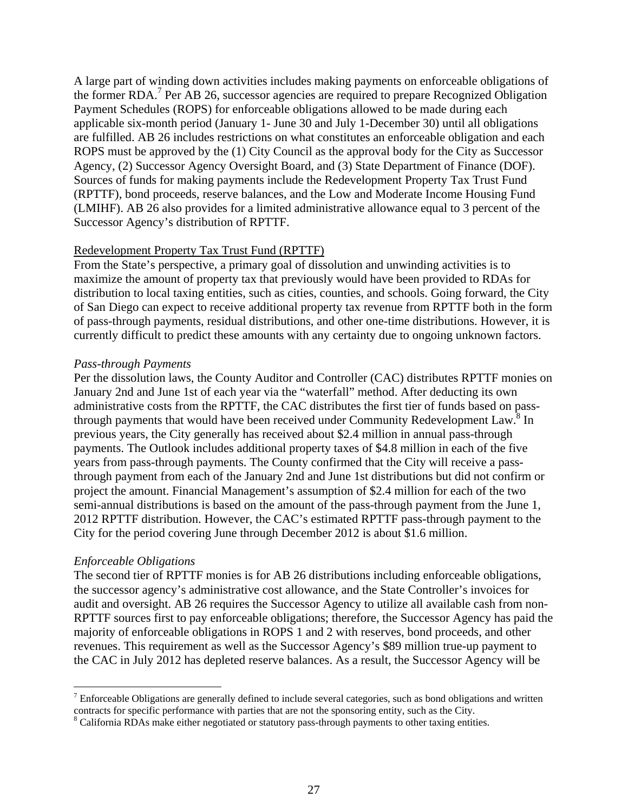A large part of winding down activities includes making payments on enforceable obligations of the former RDA.<sup>7</sup> Per AB 26, successor agencies are required to prepare Recognized Obligation Payment Schedules (ROPS) for enforceable obligations allowed to be made during each applicable six-month period (January 1- June 30 and July 1-December 30) until all obligations are fulfilled. AB 26 includes restrictions on what constitutes an enforceable obligation and each ROPS must be approved by the (1) City Council as the approval body for the City as Successor Agency, (2) Successor Agency Oversight Board, and (3) State Department of Finance (DOF). Sources of funds for making payments include the Redevelopment Property Tax Trust Fund (RPTTF), bond proceeds, reserve balances, and the Low and Moderate Income Housing Fund (LMIHF). AB 26 also provides for a limited administrative allowance equal to 3 percent of the Successor Agency's distribution of RPTTF.

#### Redevelopment Property Tax Trust Fund (RPTTF)

From the State's perspective, a primary goal of dissolution and unwinding activities is to maximize the amount of property tax that previously would have been provided to RDAs for distribution to local taxing entities, such as cities, counties, and schools. Going forward, the City of San Diego can expect to receive additional property tax revenue from RPTTF both in the form of pass-through payments, residual distributions, and other one-time distributions. However, it is currently difficult to predict these amounts with any certainty due to ongoing unknown factors.

#### *Pass-through Payments*

Per the dissolution laws, the County Auditor and Controller (CAC) distributes RPTTF monies on January 2nd and June 1st of each year via the "waterfall" method. After deducting its own administrative costs from the RPTTF, the CAC distributes the first tier of funds based on passthrough payments that would have been received under Community Redevelopment Law.<sup>8</sup> In previous years, the City generally has received about \$2.4 million in annual pass-through payments. The Outlook includes additional property taxes of \$4.8 million in each of the five years from pass-through payments. The County confirmed that the City will receive a passthrough payment from each of the January 2nd and June 1st distributions but did not confirm or project the amount. Financial Management's assumption of \$2.4 million for each of the two semi-annual distributions is based on the amount of the pass-through payment from the June 1, 2012 RPTTF distribution. However, the CAC's estimated RPTTF pass-through payment to the City for the period covering June through December 2012 is about \$1.6 million.

#### *Enforceable Obligations*

1

The second tier of RPTTF monies is for AB 26 distributions including enforceable obligations, the successor agency's administrative cost allowance, and the State Controller's invoices for audit and oversight. AB 26 requires the Successor Agency to utilize all available cash from non-RPTTF sources first to pay enforceable obligations; therefore, the Successor Agency has paid the majority of enforceable obligations in ROPS 1 and 2 with reserves, bond proceeds, and other revenues. This requirement as well as the Successor Agency's \$89 million true-up payment to the CAC in July 2012 has depleted reserve balances. As a result, the Successor Agency will be

 $<sup>7</sup>$  Enforceable Obligations are generally defined to include several categories, such as bond obligations and written</sup> contracts for specific performance with parties that are not the sponsoring entity, such as the City.

<sup>&</sup>lt;sup>8</sup> California RDAs make either negotiated or statutory pass-through payments to other taxing entities.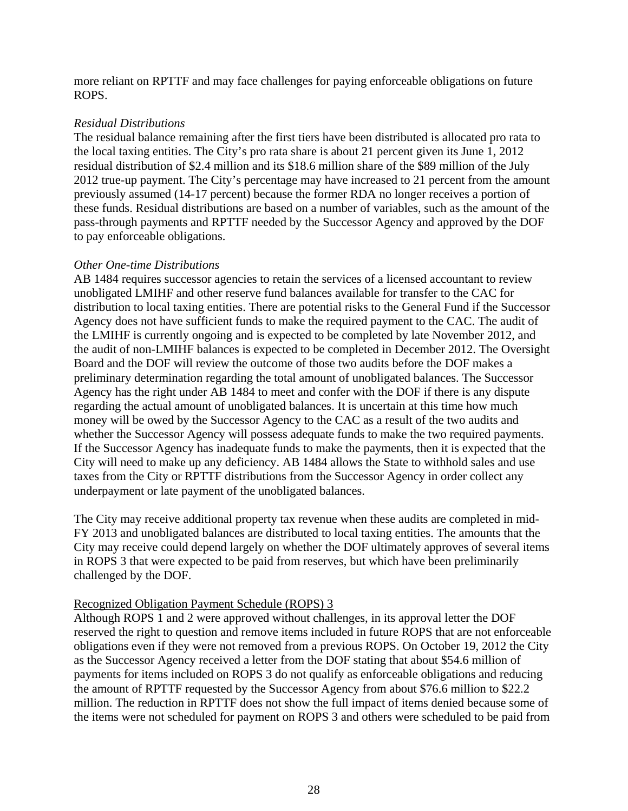more reliant on RPTTF and may face challenges for paying enforceable obligations on future ROPS.

## *Residual Distributions*

The residual balance remaining after the first tiers have been distributed is allocated pro rata to the local taxing entities. The City's pro rata share is about 21 percent given its June 1, 2012 residual distribution of \$2.4 million and its \$18.6 million share of the \$89 million of the July 2012 true-up payment. The City's percentage may have increased to 21 percent from the amount previously assumed (14-17 percent) because the former RDA no longer receives a portion of these funds. Residual distributions are based on a number of variables, such as the amount of the pass-through payments and RPTTF needed by the Successor Agency and approved by the DOF to pay enforceable obligations.

## *Other One-time Distributions*

AB 1484 requires successor agencies to retain the services of a licensed accountant to review unobligated LMIHF and other reserve fund balances available for transfer to the CAC for distribution to local taxing entities. There are potential risks to the General Fund if the Successor Agency does not have sufficient funds to make the required payment to the CAC. The audit of the LMIHF is currently ongoing and is expected to be completed by late November 2012, and the audit of non-LMIHF balances is expected to be completed in December 2012. The Oversight Board and the DOF will review the outcome of those two audits before the DOF makes a preliminary determination regarding the total amount of unobligated balances. The Successor Agency has the right under AB 1484 to meet and confer with the DOF if there is any dispute regarding the actual amount of unobligated balances. It is uncertain at this time how much money will be owed by the Successor Agency to the CAC as a result of the two audits and whether the Successor Agency will possess adequate funds to make the two required payments. If the Successor Agency has inadequate funds to make the payments, then it is expected that the City will need to make up any deficiency. AB 1484 allows the State to withhold sales and use taxes from the City or RPTTF distributions from the Successor Agency in order collect any underpayment or late payment of the unobligated balances.

The City may receive additional property tax revenue when these audits are completed in mid-FY 2013 and unobligated balances are distributed to local taxing entities. The amounts that the City may receive could depend largely on whether the DOF ultimately approves of several items in ROPS 3 that were expected to be paid from reserves, but which have been preliminarily challenged by the DOF.

## Recognized Obligation Payment Schedule (ROPS) 3

Although ROPS 1 and 2 were approved without challenges, in its approval letter the DOF reserved the right to question and remove items included in future ROPS that are not enforceable obligations even if they were not removed from a previous ROPS. On October 19, 2012 the City as the Successor Agency received a letter from the DOF stating that about \$54.6 million of payments for items included on ROPS 3 do not qualify as enforceable obligations and reducing the amount of RPTTF requested by the Successor Agency from about \$76.6 million to \$22.2 million. The reduction in RPTTF does not show the full impact of items denied because some of the items were not scheduled for payment on ROPS 3 and others were scheduled to be paid from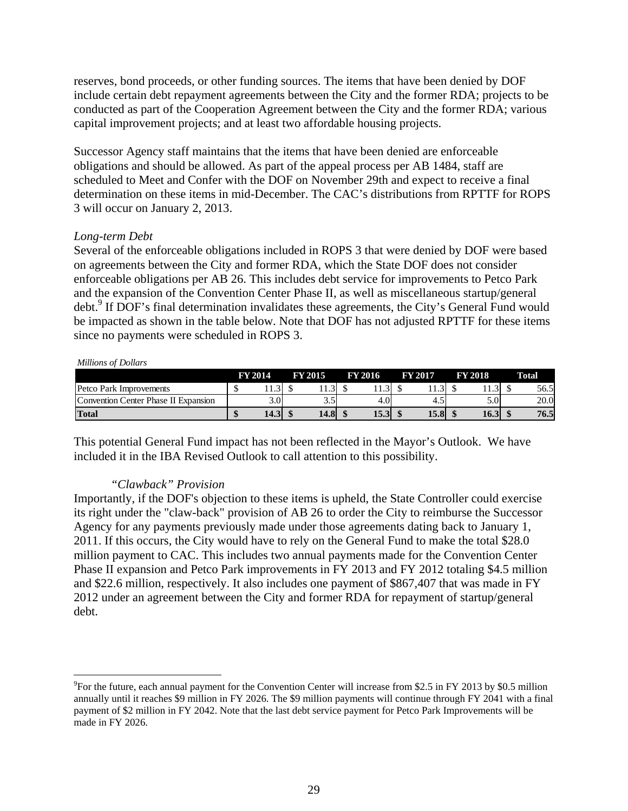reserves, bond proceeds, or other funding sources. The items that have been denied by DOF include certain debt repayment agreements between the City and the former RDA; projects to be conducted as part of the Cooperation Agreement between the City and the former RDA; various capital improvement projects; and at least two affordable housing projects.

Successor Agency staff maintains that the items that have been denied are enforceable obligations and should be allowed. As part of the appeal process per AB 1484, staff are scheduled to Meet and Confer with the DOF on November 29th and expect to receive a final determination on these items in mid-December. The CAC's distributions from RPTTF for ROPS 3 will occur on January 2, 2013.

## *Long-term Debt*

Several of the enforceable obligations included in ROPS 3 that were denied by DOF were based on agreements between the City and former RDA, which the State DOF does not consider enforceable obligations per AB 26. This includes debt service for improvements to Petco Park and the expansion of the Convention Center Phase II, as well as miscellaneous startup/general debt.<sup>9</sup> If DOF's final determination invalidates these agreements, the City's General Fund would be impacted as shown in the table below. Note that DOF has not adjusted RPTTF for these items since no payments were scheduled in ROPS 3.

#### *Millions of Dollars*

 $\overline{a}$ 

|                                      | FY 2014 |      | <b>FY 2015</b> |      | <b>FY 2016</b> | <b>FY 2017</b> | <b>FY 2018</b> | Total |
|--------------------------------------|---------|------|----------------|------|----------------|----------------|----------------|-------|
| Petco Park Improvements              |         |      |                |      | ر…             |                | 11.9           | 56.5  |
| Convention Center Phase II Expansion |         | 0.01 |                | ر. ر | 4.0            | 4.             | 0.0            | 20.0  |
| <b>Total</b>                         |         | 14.3 |                | 14.8 | 15.3           | 15.8           | 16.3           | 76.5  |

This potential General Fund impact has not been reflected in the Mayor's Outlook. We have included it in the IBA Revised Outlook to call attention to this possibility.

## *"Clawback" Provision*

Importantly, if the DOF's objection to these items is upheld, the State Controller could exercise its right under the "claw-back" provision of AB 26 to order the City to reimburse the Successor Agency for any payments previously made under those agreements dating back to January 1, 2011. If this occurs, the City would have to rely on the General Fund to make the total \$28.0 million payment to CAC. This includes two annual payments made for the Convention Center Phase II expansion and Petco Park improvements in FY 2013 and FY 2012 totaling \$4.5 million and \$22.6 million, respectively. It also includes one payment of \$867,407 that was made in FY 2012 under an agreement between the City and former RDA for repayment of startup/general debt.

 $^{9}$ For the future, each annual payment for the Convention Center will increase from \$2.5 in FY 2013 by \$0.5 million annually until it reaches \$9 million in FY 2026. The \$9 million payments will continue through FY 2041 with a final payment of \$2 million in FY 2042. Note that the last debt service payment for Petco Park Improvements will be made in FY 2026.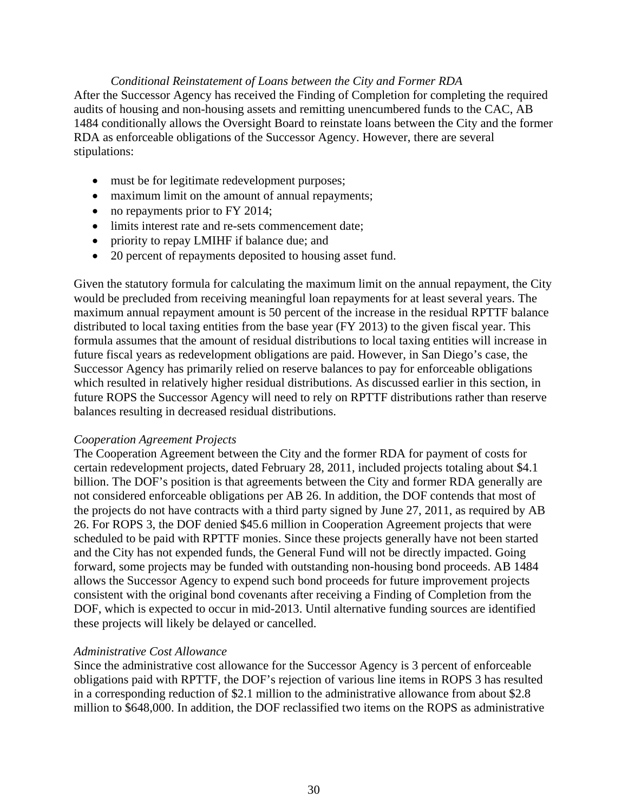## *Conditional Reinstatement of Loans between the City and Former RDA*  After the Successor Agency has received the Finding of Completion for completing the required audits of housing and non-housing assets and remitting unencumbered funds to the CAC, AB 1484 conditionally allows the Oversight Board to reinstate loans between the City and the former RDA as enforceable obligations of the Successor Agency. However, there are several stipulations:

- must be for legitimate redevelopment purposes;
- maximum limit on the amount of annual repayments;
- no repayments prior to FY 2014;
- limits interest rate and re-sets commencement date;
- priority to repay LMIHF if balance due; and
- 20 percent of repayments deposited to housing asset fund.

Given the statutory formula for calculating the maximum limit on the annual repayment, the City would be precluded from receiving meaningful loan repayments for at least several years. The maximum annual repayment amount is 50 percent of the increase in the residual RPTTF balance distributed to local taxing entities from the base year (FY 2013) to the given fiscal year. This formula assumes that the amount of residual distributions to local taxing entities will increase in future fiscal years as redevelopment obligations are paid. However, in San Diego's case, the Successor Agency has primarily relied on reserve balances to pay for enforceable obligations which resulted in relatively higher residual distributions. As discussed earlier in this section, in future ROPS the Successor Agency will need to rely on RPTTF distributions rather than reserve balances resulting in decreased residual distributions.

## *Cooperation Agreement Projects*

The Cooperation Agreement between the City and the former RDA for payment of costs for certain redevelopment projects, dated February 28, 2011, included projects totaling about \$4.1 billion. The DOF's position is that agreements between the City and former RDA generally are not considered enforceable obligations per AB 26. In addition, the DOF contends that most of the projects do not have contracts with a third party signed by June 27, 2011, as required by AB 26. For ROPS 3, the DOF denied \$45.6 million in Cooperation Agreement projects that were scheduled to be paid with RPTTF monies. Since these projects generally have not been started and the City has not expended funds, the General Fund will not be directly impacted. Going forward, some projects may be funded with outstanding non-housing bond proceeds. AB 1484 allows the Successor Agency to expend such bond proceeds for future improvement projects consistent with the original bond covenants after receiving a Finding of Completion from the DOF, which is expected to occur in mid-2013. Until alternative funding sources are identified these projects will likely be delayed or cancelled.

## *Administrative Cost Allowance*

Since the administrative cost allowance for the Successor Agency is 3 percent of enforceable obligations paid with RPTTF, the DOF's rejection of various line items in ROPS 3 has resulted in a corresponding reduction of \$2.1 million to the administrative allowance from about \$2.8 million to \$648,000. In addition, the DOF reclassified two items on the ROPS as administrative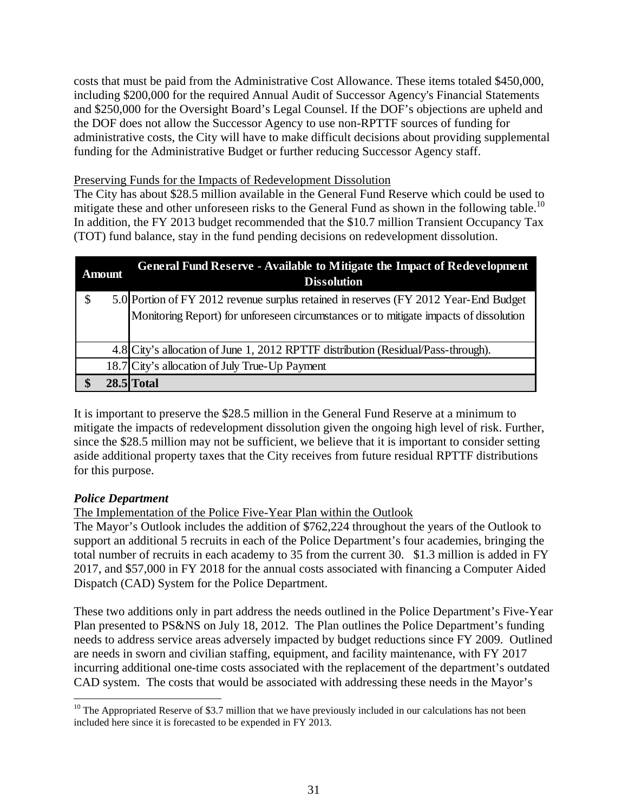costs that must be paid from the Administrative Cost Allowance. These items totaled \$450,000, including \$200,000 for the required Annual Audit of Successor Agency's Financial Statements and \$250,000 for the Oversight Board's Legal Counsel. If the DOF's objections are upheld and the DOF does not allow the Successor Agency to use non-RPTTF sources of funding for administrative costs, the City will have to make difficult decisions about providing supplemental funding for the Administrative Budget or further reducing Successor Agency staff.

## Preserving Funds for the Impacts of Redevelopment Dissolution

The City has about \$28.5 million available in the General Fund Reserve which could be used to mitigate these and other unforeseen risks to the General Fund as shown in the following table.<sup>10</sup> In addition, the FY 2013 budget recommended that the \$10.7 million Transient Occupancy Tax (TOT) fund balance, stay in the fund pending decisions on redevelopment dissolution.

|         | <b>Amount</b> | <b>General Fund Reserve - Available to Mitigate the Impact of Redevelopment</b><br><b>Dissolution</b> |
|---------|---------------|-------------------------------------------------------------------------------------------------------|
| Φ<br>JЭ |               | 5.0 Portion of FY 2012 revenue surplus retained in reserves (FY 2012 Year-End Budget                  |
|         |               | Monitoring Report) for unforeseen circumstances or to mitigate impacts of dissolution                 |
|         |               | 4.8 City's allocation of June 1, 2012 RPTTF distribution (Residual/Pass-through).                     |
|         |               | 18.7 City's allocation of July True-Up Payment                                                        |
|         |               | 28.5 Total                                                                                            |

It is important to preserve the \$28.5 million in the General Fund Reserve at a minimum to mitigate the impacts of redevelopment dissolution given the ongoing high level of risk. Further, since the \$28.5 million may not be sufficient, we believe that it is important to consider setting aside additional property taxes that the City receives from future residual RPTTF distributions for this purpose.

## *Police Department*

The Implementation of the Police Five-Year Plan within the Outlook

The Mayor's Outlook includes the addition of \$762,224 throughout the years of the Outlook to support an additional 5 recruits in each of the Police Department's four academies, bringing the total number of recruits in each academy to 35 from the current 30. \$1.3 million is added in FY 2017, and \$57,000 in FY 2018 for the annual costs associated with financing a Computer Aided Dispatch (CAD) System for the Police Department.

These two additions only in part address the needs outlined in the Police Department's Five-Year Plan presented to PS&NS on July 18, 2012. The Plan outlines the Police Department's funding needs to address service areas adversely impacted by budget reductions since FY 2009. Outlined are needs in sworn and civilian staffing, equipment, and facility maintenance, with FY 2017 incurring additional one-time costs associated with the replacement of the department's outdated CAD system. The costs that would be associated with addressing these needs in the Mayor's

 $\overline{a}$  $10$  The Appropriated Reserve of \$3.7 million that we have previously included in our calculations has not been included here since it is forecasted to be expended in FY 2013.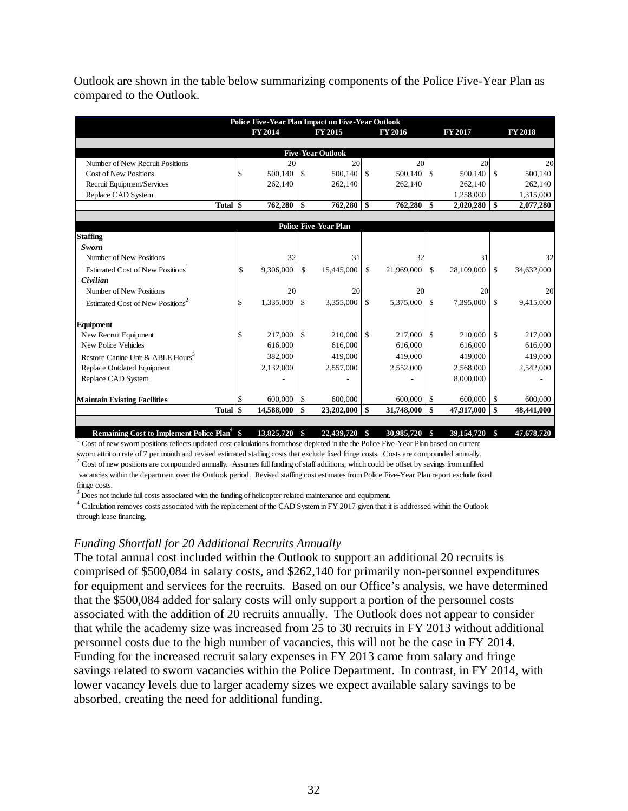| Outlook are shown in the table below summarizing components of the Police Five-Year Plan as |  |
|---------------------------------------------------------------------------------------------|--|
| compared to the Outlook.                                                                    |  |

|                                                         |                 |               | <b>Police Five-Year Plan Impact on Five-Year Outlook</b> |               |            |               |            |               |                |
|---------------------------------------------------------|-----------------|---------------|----------------------------------------------------------|---------------|------------|---------------|------------|---------------|----------------|
|                                                         | <b>FY 2014</b>  |               | FY 2015                                                  |               | FY 2016    |               | FY 2017    |               | <b>FY 2018</b> |
|                                                         |                 |               |                                                          |               |            |               |            |               |                |
|                                                         |                 |               | <b>Five-Year Outlook</b>                                 |               |            |               |            |               |                |
| Number of New Recruit Positions                         | 20              |               | 20                                                       |               | 20         |               | 20         |               | 20             |
| <b>Cost of New Positions</b>                            | \$<br>500.140   | - \$          | 500.140                                                  | -\$           | 500.140    | $\mathcal{S}$ | 500,140    | $\mathcal{S}$ | 500.140        |
| Recruit Equipment/Services                              | 262,140         |               | 262,140                                                  |               | 262,140    |               | 262,140    |               | 262,140        |
| Replace CAD System                                      |                 |               |                                                          |               |            |               | 1,258,000  |               | 1,315,000      |
| Total \$                                                | 762,280         | $\mathbf{s}$  | 762,280                                                  | $\mathbf{s}$  | 762,280    | $\mathbf{s}$  | 2,020,280  | $\mathbf{s}$  | 2,077,280      |
|                                                         |                 |               |                                                          |               |            |               |            |               |                |
|                                                         |                 |               | <b>Police Five-Year Plan</b>                             |               |            |               |            |               |                |
| <b>Staffing</b>                                         |                 |               |                                                          |               |            |               |            |               |                |
| Sworn                                                   |                 |               |                                                          |               |            |               |            |               |                |
| Number of New Positions                                 | 32              |               | 31                                                       |               | 32         |               | 31         |               | 32             |
| Estimated Cost of New Positions <sup>1</sup>            | \$<br>9,306,000 | $\mathbb{S}$  | 15,445,000                                               | <sup>\$</sup> | 21,969,000 | $\mathbb{S}$  | 28,109,000 | $\mathbb{S}$  | 34,632,000     |
| Civilian                                                |                 |               |                                                          |               |            |               |            |               |                |
| Number of New Positions                                 | 20              |               | 20                                                       |               | 20         |               | 20         |               | 20             |
| Estimated Cost of New Positions <sup>2</sup>            | \$<br>1,335,000 | <sup>\$</sup> | 3,355,000                                                | <sup>\$</sup> | 5,375,000  | $\mathbf S$   | 7,395,000  | $\mathcal{S}$ | 9,415,000      |
| Equipment                                               |                 |               |                                                          |               |            |               |            |               |                |
| New Recruit Equipment                                   | \$<br>217,000   | <sup>\$</sup> | 210,000                                                  | $\mathcal{S}$ | 217,000    | $\mathcal{S}$ | 210,000    | $\mathbb{S}$  | 217,000        |
| New Police Vehicles                                     | 616,000         |               | 616,000                                                  |               | 616,000    |               | 616,000    |               | 616,000        |
| Restore Canine Unit & ABLE Hours <sup>3</sup>           | 382,000         |               | 419,000                                                  |               | 419,000    |               | 419,000    |               | 419,000        |
| Replace Outdated Equipment                              | 2,132,000       |               | 2,557,000                                                |               | 2,552,000  |               | 2,568,000  |               | 2,542,000      |
| Replace CAD System                                      |                 |               |                                                          |               |            |               | 8,000,000  |               |                |
|                                                         |                 |               |                                                          |               |            |               |            |               |                |
| <b>Maintain Existing Facilities</b>                     | \$<br>600,000   | \$            | 600,000                                                  |               | 600,000    | \$            | 600,000    | $\mathbb{S}$  | 600,000        |
| Total \$                                                | 14,588,000      | $\mathbf{\$}$ | 23,202,000                                               | -\$           | 31,748,000 | -\$           | 47,917,000 | \$            | 48,441,000     |
|                                                         |                 |               |                                                          |               |            |               |            |               |                |
| Remaining Cost to Implement Police Plan <sup>4</sup> \$ | 13,825,720      | \$            | 22,439,720                                               | \$            | 30,985,720 | \$            | 39,154,720 | \$            | 47,678,720     |

<sup>1</sup> Cost of new sworn positions reflects updated cost calculations from those depicted in the the Police Five-Year Plan based on current sworn attrition rate of 7 per month and revised estimated staffing costs that exclude fixed fringe costs. Costs are compounded annually.

 $2^2$  Cost of new positions are compounded annually. Assumes full funding of staff additions, which could be offset by savings from unfilled

 vacancies within the department over the Outlook period. Revised staffing cost estimates from Police Five-Year Plan report exclude fixed fringe costs.

 $3$  Does not include full costs associated with the funding of helicopter related maintenance and equipment.

through lease financing. <sup>4</sup> Calculation removes costs associated with the replacement of the CAD System in FY 2017 given that it is addressed within the Outlook

#### *Funding Shortfall for 20 Additional Recruits Annually*

The total annual cost included within the Outlook to support an additional 20 recruits is comprised of \$500,084 in salary costs, and \$262,140 for primarily non-personnel expenditures for equipment and services for the recruits. Based on our Office's analysis, we have determined that the \$500,084 added for salary costs will only support a portion of the personnel costs associated with the addition of 20 recruits annually. The Outlook does not appear to consider that while the academy size was increased from 25 to 30 recruits in FY 2013 without additional personnel costs due to the high number of vacancies, this will not be the case in FY 2014. Funding for the increased recruit salary expenses in FY 2013 came from salary and fringe savings related to sworn vacancies within the Police Department. In contrast, in FY 2014, with lower vacancy levels due to larger academy sizes we expect available salary savings to be absorbed, creating the need for additional funding.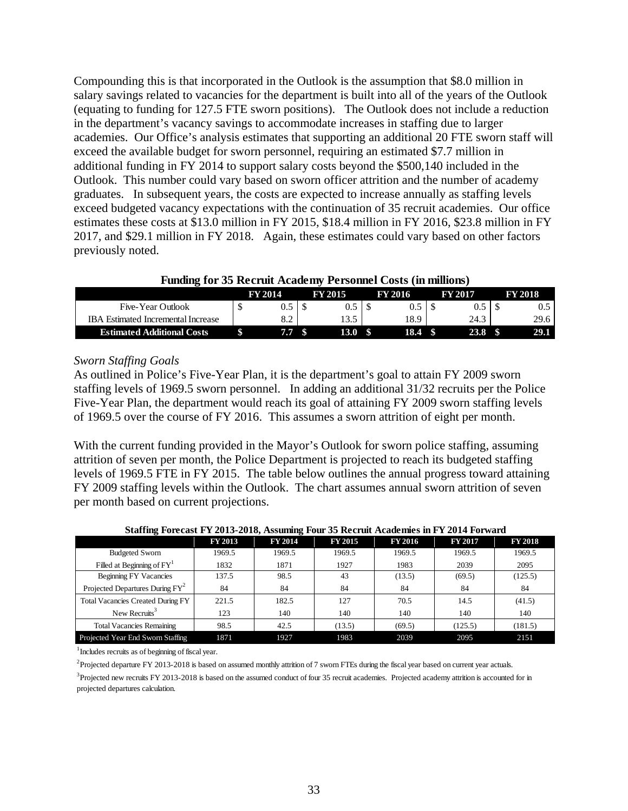Compounding this is that incorporated in the Outlook is the assumption that \$8.0 million in salary savings related to vacancies for the department is built into all of the years of the Outlook (equating to funding for 127.5 FTE sworn positions). The Outlook does not include a reduction in the department's vacancy savings to accommodate increases in staffing due to larger academies. Our Office's analysis estimates that supporting an additional 20 FTE sworn staff will exceed the available budget for sworn personnel, requiring an estimated \$7.7 million in additional funding in FY 2014 to support salary costs beyond the \$500,140 included in the Outlook. This number could vary based on sworn officer attrition and the number of academy graduates. In subsequent years, the costs are expected to increase annually as staffing levels exceed budgeted vacancy expectations with the continuation of 35 recruit academies. Our office estimates these costs at \$13.0 million in FY 2015, \$18.4 million in FY 2016, \$23.8 million in FY 2017, and \$29.1 million in FY 2018. Again, these estimates could vary based on other factors previously noted.

|  |  |  |  | <b>Funding for 35 Recruit Academy Personnel Costs (in millions)</b> |
|--|--|--|--|---------------------------------------------------------------------|
|  |  |  |  |                                                                     |

| -                                  | <b>FV 2014</b> | FY 2015 | FY 2016 | FY 2017 |   | <b>FY 2018</b> |
|------------------------------------|----------------|---------|---------|---------|---|----------------|
| Five-Year Outlook                  | ∪.J            |         |         | U.J     |   | U.J            |
| IRA Estimated Incremental Increase | 0.Z            | 13.5    | 18.9    | 24.3    |   | 29.6           |
| <b>Estimated Additional Costs</b>  | 7.7            | 13.0    | 18.4    |         | w |                |

## *Sworn Staffing Goals*

As outlined in Police's Five-Year Plan, it is the department's goal to attain FY 2009 sworn staffing levels of 1969.5 sworn personnel. In adding an additional 31/32 recruits per the Police Five-Year Plan, the department would reach its goal of attaining FY 2009 sworn staffing levels of 1969.5 over the course of FY 2016. This assumes a sworn attrition of eight per month.

With the current funding provided in the Mayor's Outlook for sworn police staffing, assuming attrition of seven per month, the Police Department is projected to reach its budgeted staffing levels of 1969.5 FTE in FY 2015. The table below outlines the annual progress toward attaining FY 2009 staffing levels within the Outlook. The chart assumes annual sworn attrition of seven per month based on current projections.

#### **Staffing Forecast FY 2013-2018, Assuming Four 35 Recruit Academies in FY 2014 Forward**

|                                             | <b>FY 2013</b> | <b>FY 2014</b> | FY 2015 | <b>FY 2016</b> | <b>FY 2017</b> | <b>FY 2018</b> |
|---------------------------------------------|----------------|----------------|---------|----------------|----------------|----------------|
| <b>Budgeted Sworn</b>                       | 1969.5         | 1969.5         | 1969.5  | 1969.5         | 1969.5         | 1969.5         |
| Filled at Beginning of $FYT$                | 1832           | 1871           | 1927    | 1983           | 2039           | 2095           |
| Beginning FY Vacancies                      | 137.5          | 98.5           | 43      | (13.5)         | (69.5)         | (125.5)        |
| Projected Departures During FY <sup>2</sup> | 84             | 84             | 84      | 84             | 84             | 84             |
| <b>Total Vacancies Created During FY</b>    | 221.5          | 182.5          | 127     | 70.5           | 14.5           | (41.5)         |
| New Recruits <sup>3</sup>                   | 123            | 140            | 140     | 140            | 140            | 140            |
| <b>Total Vacancies Remaining</b>            | 98.5           | 42.5           | (13.5)  | (69.5)         | (125.5)        | (181.5)        |
| Projected Year End Sworn Staffing           | 1871           | 1927           | 1983    | 2039           | 2095           | 2151           |

<sup>1</sup> Includes recruits as of beginning of fiscal year.

<sup>2</sup>Projected departure FY 2013-2018 is based on assumed monthly attrition of 7 sworn FTEs during the fiscal year based on current year actuals.

<sup>3</sup>Projected new recruits FY 2013-2018 is based on the assumed conduct of four 35 recruit academies. Projected academy attrition is accounted for in projected departures calculation.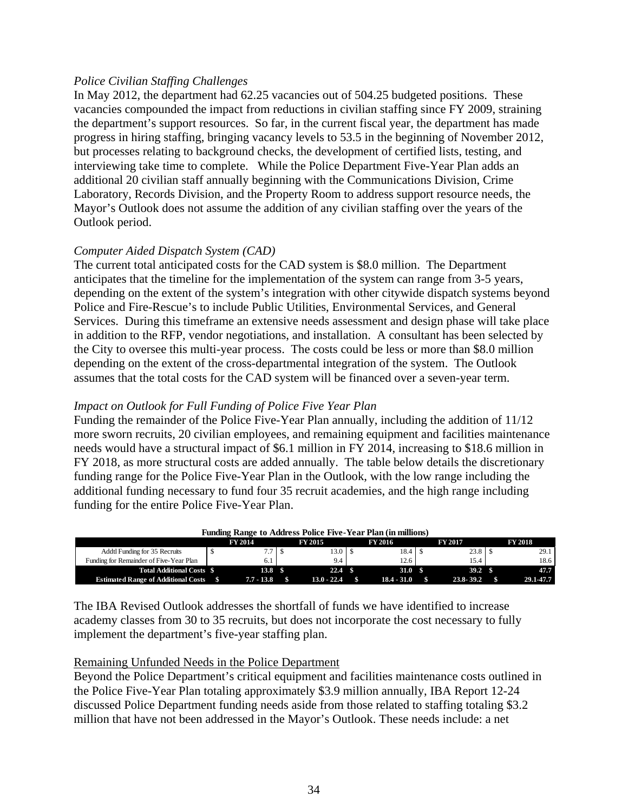## *Police Civilian Staffing Challenges*

In May 2012, the department had 62.25 vacancies out of 504.25 budgeted positions. These vacancies compounded the impact from reductions in civilian staffing since FY 2009, straining the department's support resources. So far, in the current fiscal year, the department has made progress in hiring staffing, bringing vacancy levels to 53.5 in the beginning of November 2012, but processes relating to background checks, the development of certified lists, testing, and interviewing take time to complete. While the Police Department Five-Year Plan adds an additional 20 civilian staff annually beginning with the Communications Division, Crime Laboratory, Records Division, and the Property Room to address support resource needs, the Mayor's Outlook does not assume the addition of any civilian staffing over the years of the Outlook period.

## *Computer Aided Dispatch System (CAD)*

The current total anticipated costs for the CAD system is \$8.0 million. The Department anticipates that the timeline for the implementation of the system can range from 3-5 years, depending on the extent of the system's integration with other citywide dispatch systems beyond Police and Fire-Rescue's to include Public Utilities, Environmental Services, and General Services. During this timeframe an extensive needs assessment and design phase will take place in addition to the RFP, vendor negotiations, and installation. A consultant has been selected by the City to oversee this multi-year process. The costs could be less or more than \$8.0 million depending on the extent of the cross-departmental integration of the system. The Outlook assumes that the total costs for the CAD system will be financed over a seven-year term.

## *Impact on Outlook for Full Funding of Police Five Year Plan*

Funding the remainder of the Police Five-Year Plan annually, including the addition of 11/12 more sworn recruits, 20 civilian employees, and remaining equipment and facilities maintenance needs would have a structural impact of \$6.1 million in FY 2014, increasing to \$18.6 million in FY 2018, as more structural costs are added annually. The table below details the discretionary funding range for the Police Five-Year Plan in the Outlook, with the low range including the additional funding necessary to fund four 35 recruit academies, and the high range including funding for the entire Police Five-Year Plan.

| <b>Funding Range to Address Police Five-Year Plan (in millions)</b> |  |                   |  |                   |  |                |  |                   |  |                |  |  |
|---------------------------------------------------------------------|--|-------------------|--|-------------------|--|----------------|--|-------------------|--|----------------|--|--|
|                                                                     |  | <b>FY 2014</b>    |  | <b>FY 2015</b>    |  | <b>FY 2016</b> |  | <b>FY 2017</b>    |  | <b>FY 2018</b> |  |  |
| Addtl Funding for 35 Recruits                                       |  |                   |  | 13.0              |  | 18.4           |  | 23.8              |  | 29.1           |  |  |
| Funding for Remainder of Five-Year Plan                             |  |                   |  | 9.4               |  | 12.6           |  | 15.4              |  | 18.6           |  |  |
| Total Additional Costs \$                                           |  | 13.8 <sup>8</sup> |  | 22.4 <sup>8</sup> |  | 31.0           |  | 39.2 <sup>8</sup> |  | 47.7           |  |  |
| <b>Estimated Range of Additional Costs</b>                          |  | $7.7 - 13.8$      |  | $13.0 - 22.4$     |  | $18.4 - 31.0$  |  | $23.8 - 39.2$     |  | 29.1-47.7      |  |  |

The IBA Revised Outlook addresses the shortfall of funds we have identified to increase academy classes from 30 to 35 recruits, but does not incorporate the cost necessary to fully implement the department's five-year staffing plan.

## Remaining Unfunded Needs in the Police Department

Beyond the Police Department's critical equipment and facilities maintenance costs outlined in the Police Five-Year Plan totaling approximately \$3.9 million annually, IBA Report 12-24 discussed Police Department funding needs aside from those related to staffing totaling \$3.2 million that have not been addressed in the Mayor's Outlook. These needs include: a net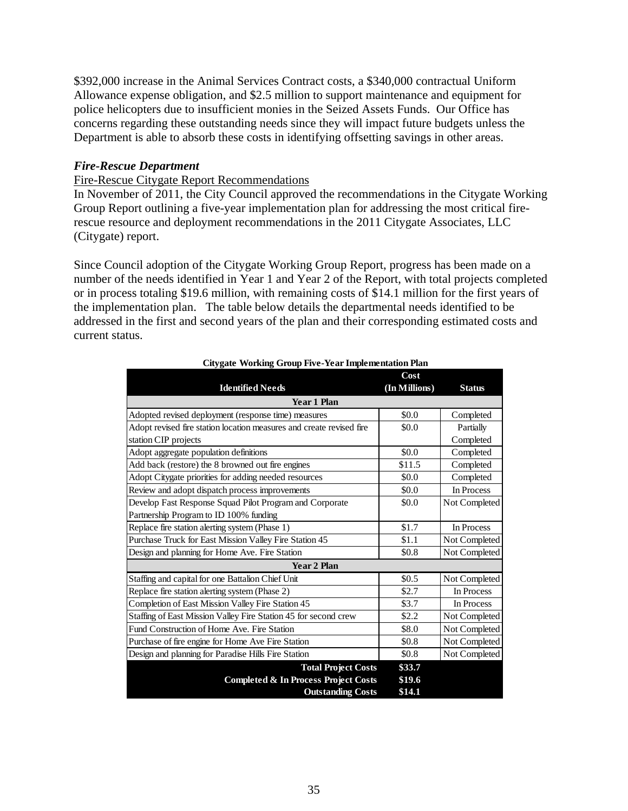\$392,000 increase in the Animal Services Contract costs, a \$340,000 contractual Uniform Allowance expense obligation, and \$2.5 million to support maintenance and equipment for police helicopters due to insufficient monies in the Seized Assets Funds. Our Office has concerns regarding these outstanding needs since they will impact future budgets unless the Department is able to absorb these costs in identifying offsetting savings in other areas.

## *Fire-Rescue Department*

## Fire-Rescue Citygate Report Recommendations

In November of 2011, the City Council approved the recommendations in the Citygate Working Group Report outlining a five-year implementation plan for addressing the most critical firerescue resource and deployment recommendations in the 2011 Citygate Associates, LLC (Citygate) report.

Since Council adoption of the Citygate Working Group Report, progress has been made on a number of the needs identified in Year 1 and Year 2 of the Report, with total projects completed or in process totaling \$19.6 million, with remaining costs of \$14.1 million for the first years of the implementation plan. The table below details the departmental needs identified to be addressed in the first and second years of the plan and their corresponding estimated costs and current status.

|                                                                      | Cost          |               |
|----------------------------------------------------------------------|---------------|---------------|
| <b>Identified Needs</b>                                              | (In Millions) | <b>Status</b> |
| <b>Year 1 Plan</b>                                                   |               |               |
| Adopted revised deployment (response time) measures                  | \$0.0         | Completed     |
| Adopt revised fire station location measures and create revised fire | \$0.0         | Partially     |
| station CIP projects                                                 |               | Completed     |
| Adopt aggregate population definitions                               | \$0.0         | Completed     |
| Add back (restore) the 8 browned out fire engines                    | \$11.5        | Completed     |
| Adopt Citygate priorities for adding needed resources                | \$0.0         | Completed     |
| Review and adopt dispatch process improvements                       | \$0.0         | In Process    |
| Develop Fast Response Squad Pilot Program and Corporate              | \$0.0         | Not Completed |
| Partnership Program to ID 100% funding                               |               |               |
| Replace fire station alerting system (Phase 1)                       | \$1.7         | In Process    |
| Purchase Truck for East Mission Valley Fire Station 45               | \$1.1         | Not Completed |
| Design and planning for Home Ave. Fire Station                       | \$0.8         | Not Completed |
| <b>Year 2 Plan</b>                                                   |               |               |
| Staffing and capital for one Battalion Chief Unit                    | \$0.5         | Not Completed |
| Replace fire station alerting system (Phase 2)                       | \$2.7         | In Process    |
| Completion of East Mission Valley Fire Station 45                    | \$3.7         | In Process    |
| Staffing of East Mission Valley Fire Station 45 for second crew      | \$2.2         | Not Completed |
| Fund Construction of Home Ave. Fire Station                          | \$8.0         | Not Completed |
| Purchase of fire engine for Home Ave Fire Station                    | \$0.8         | Not Completed |
| Design and planning for Paradise Hills Fire Station                  | \$0.8         | Not Completed |
| <b>Total Project Costs</b>                                           | \$33.7        |               |
| <b>Completed &amp; In Process Project Costs</b>                      | \$19.6        |               |
| <b>Outstanding Costs</b>                                             | \$14.1        |               |

#### **Citygate Working Group Five-Year Implementation Plan**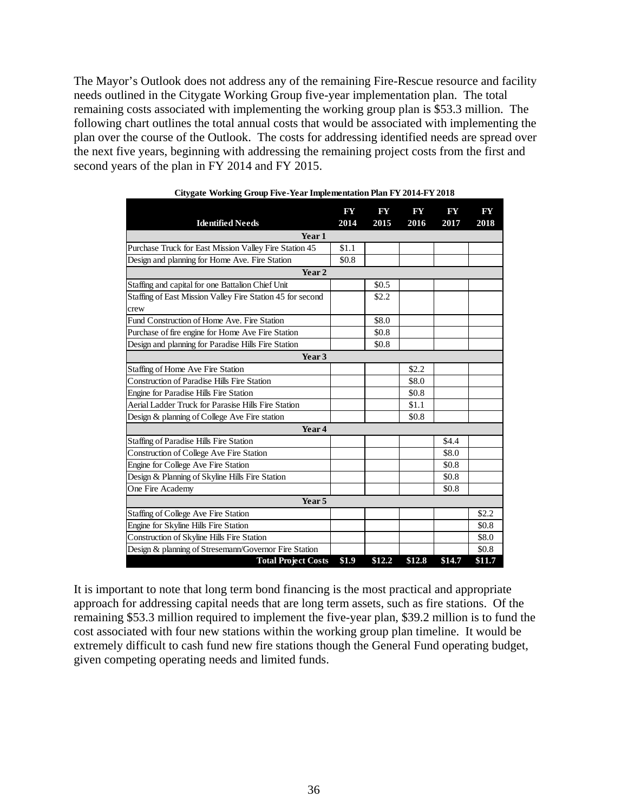The Mayor's Outlook does not address any of the remaining Fire-Rescue resource and facility needs outlined in the Citygate Working Group five-year implementation plan. The total remaining costs associated with implementing the working group plan is \$53.3 million. The following chart outlines the total annual costs that would be associated with implementing the plan over the course of the Outlook. The costs for addressing identified needs are spread over the next five years, beginning with addressing the remaining project costs from the first and second years of the plan in FY 2014 and FY 2015.

| <b>Identified Needs</b>                                    | FY<br>2014 | FY<br>2015 | FY<br>2016 | FY<br>2017 | FY<br>2018 |
|------------------------------------------------------------|------------|------------|------------|------------|------------|
| Year 1                                                     |            |            |            |            |            |
| Purchase Truck for East Mission Valley Fire Station 45     | \$1.1      |            |            |            |            |
| Design and planning for Home Ave. Fire Station             | \$0.8      |            |            |            |            |
| Year 2                                                     |            |            |            |            |            |
| Staffing and capital for one Battalion Chief Unit          |            | \$0.5      |            |            |            |
| Staffing of East Mission Valley Fire Station 45 for second |            | \$2.2      |            |            |            |
| crew                                                       |            |            |            |            |            |
| Fund Construction of Home Ave. Fire Station                |            | \$8.0      |            |            |            |
| Purchase of fire engine for Home Ave Fire Station          |            | \$0.8      |            |            |            |
| Design and planning for Paradise Hills Fire Station        |            | \$0.8      |            |            |            |
| Year 3                                                     |            |            |            |            |            |
| Staffing of Home Ave Fire Station                          |            |            | \$2.2      |            |            |
| <b>Construction of Paradise Hills Fire Station</b>         |            |            | \$8.0      |            |            |
| Engine for Paradise Hills Fire Station                     |            |            | \$0.8      |            |            |
| Aerial Ladder Truck for Parasise Hills Fire Station        |            |            | \$1.1      |            |            |
| Design & planning of College Ave Fire station              |            |            | \$0.8      |            |            |
| Year 4                                                     |            |            |            |            |            |
| Staffing of Paradise Hills Fire Station                    |            |            |            | \$4.4      |            |
| Construction of College Ave Fire Station                   |            |            |            | \$8.0      |            |
| Engine for College Ave Fire Station                        |            |            |            | \$0.8      |            |
| Design & Planning of Skyline Hills Fire Station            |            |            |            | \$0.8      |            |
| One Fire Academy                                           |            |            |            | \$0.8      |            |
| Year <sub>5</sub>                                          |            |            |            |            |            |
| Staffing of College Ave Fire Station                       |            |            |            |            | \$2.2      |
| Engine for Skyline Hills Fire Station                      |            |            |            |            | \$0.8      |
| Construction of Skyline Hills Fire Station                 |            |            |            |            | \$8.0      |
| Design & planning of Stresemann/Governor Fire Station      |            |            |            |            | \$0.8      |
| <b>Total Project Costs</b>                                 | \$1.9      | \$12.2     | \$12.8     | \$14.7     | \$11.7     |

| Citygate Working Group Five-Year Implementation Plan FY 2014-FY 2018 |  |  |  |  |  |
|----------------------------------------------------------------------|--|--|--|--|--|
|                                                                      |  |  |  |  |  |

It is important to note that long term bond financing is the most practical and appropriate approach for addressing capital needs that are long term assets, such as fire stations. Of the remaining \$53.3 million required to implement the five-year plan, \$39.2 million is to fund the cost associated with four new stations within the working group plan timeline. It would be extremely difficult to cash fund new fire stations though the General Fund operating budget, given competing operating needs and limited funds.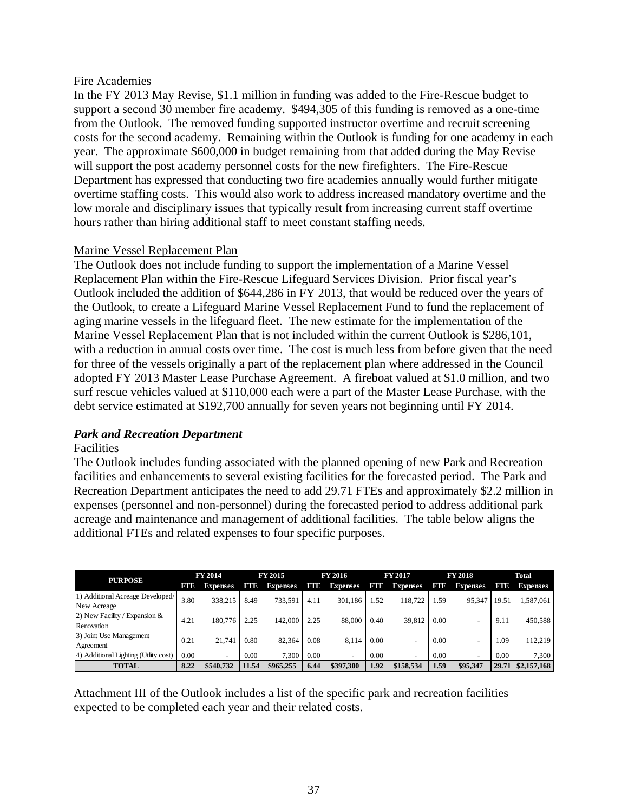## Fire Academies

In the FY 2013 May Revise, \$1.1 million in funding was added to the Fire-Rescue budget to support a second 30 member fire academy. \$494,305 of this funding is removed as a one-time from the Outlook. The removed funding supported instructor overtime and recruit screening costs for the second academy. Remaining within the Outlook is funding for one academy in each year. The approximate \$600,000 in budget remaining from that added during the May Revise will support the post academy personnel costs for the new firefighters. The Fire-Rescue Department has expressed that conducting two fire academies annually would further mitigate overtime staffing costs. This would also work to address increased mandatory overtime and the low morale and disciplinary issues that typically result from increasing current staff overtime hours rather than hiring additional staff to meet constant staffing needs.

## Marine Vessel Replacement Plan

The Outlook does not include funding to support the implementation of a Marine Vessel Replacement Plan within the Fire-Rescue Lifeguard Services Division. Prior fiscal year's Outlook included the addition of \$644,286 in FY 2013, that would be reduced over the years of the Outlook, to create a Lifeguard Marine Vessel Replacement Fund to fund the replacement of aging marine vessels in the lifeguard fleet. The new estimate for the implementation of the Marine Vessel Replacement Plan that is not included within the current Outlook is \$286,101, with a reduction in annual costs over time. The cost is much less from before given that the need for three of the vessels originally a part of the replacement plan where addressed in the Council adopted FY 2013 Master Lease Purchase Agreement. A fireboat valued at \$1.0 million, and two surf rescue vehicles valued at \$110,000 each were a part of the Master Lease Purchase, with the debt service estimated at \$192,700 annually for seven years not beginning until FY 2014.

## *Park and Recreation Department*

## Facilities

The Outlook includes funding associated with the planned opening of new Park and Recreation facilities and enhancements to several existing facilities for the forecasted period. The Park and Recreation Department anticipates the need to add 29.71 FTEs and approximately \$2.2 million in expenses (personnel and non-personnel) during the forecasted period to address additional park acreage and maintenance and management of additional facilities. The table below aligns the additional FTEs and related expenses to four specific purposes.

| <b>PURPOSE</b>                                  | <b>FY 2014</b><br><b>FY 2015</b> |                 | FY 2016 |                 | <b>FY 2017</b> |                          | <b>FY 2018</b> |                          | Total |                          |       |                 |
|-------------------------------------------------|----------------------------------|-----------------|---------|-----------------|----------------|--------------------------|----------------|--------------------------|-------|--------------------------|-------|-----------------|
|                                                 | FTD                              | <b>Expenses</b> | FTD     | <b>Expenses</b> | FTD            | <b>Expenses</b>          | FTD            | <b>Expenses</b>          | FTE   | <b>Expenses</b>          | FTD   | <b>Expenses</b> |
| 1) Additional Acreage Developed/<br>New Acreage | 3.80                             | 338.215         | 8.49    | 733.591         | 4.11           | 301.186                  | .52            | 118.722                  | .59   | 95,347                   | 19.51 | 1,587,061       |
| 2) New Facility / Expansion $&$<br>Renovation   | 4.21                             | 180,776         | 2.25    | 142,000         | 2.25           | 88,000                   | 0.40           | 39,812                   | 0.00  |                          | 9.11  | 450,588         |
| 3) Joint Use Management<br>Agreement            | 0.21                             | 21.741          | 0.80    | 82.364          | 0.08           | 8.114                    | 0.00           |                          | 0.00  |                          | 1.09  | 112,219         |
| 4) Additional Lighting (Utlity cost)            | 0.00                             |                 | 0.00    | 7.300           | 0.00           | $\overline{\phantom{0}}$ | 0.00           | $\overline{\phantom{a}}$ | 0.00  | $\overline{\phantom{0}}$ | 0.00  | 7,300           |
| <b>TOTAL</b>                                    | 8.22                             | \$540,732       | 11.54   | \$965.255       | 6.44           | \$397.300                | 1.92           | \$158,534                | 1.59  | \$95,347                 | 29.71 | \$2,157,168     |

Attachment III of the Outlook includes a list of the specific park and recreation facilities expected to be completed each year and their related costs.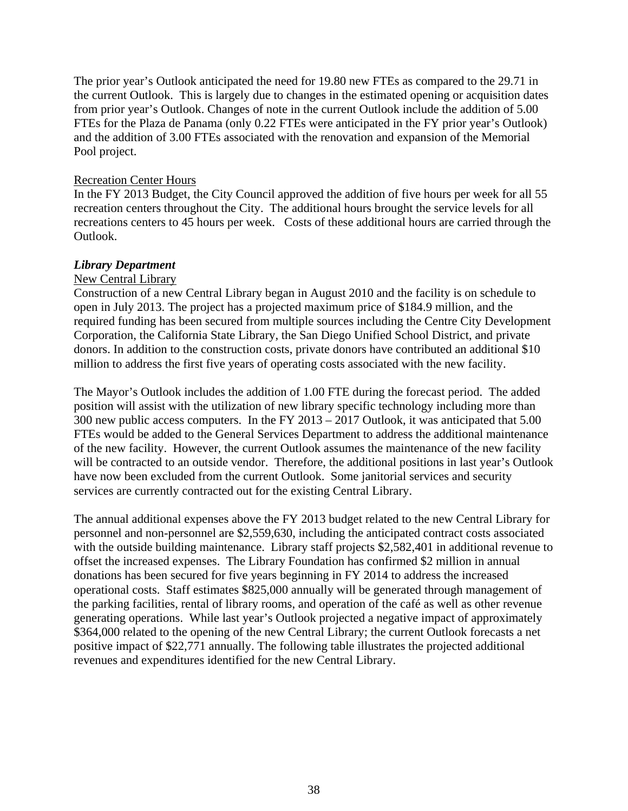The prior year's Outlook anticipated the need for 19.80 new FTEs as compared to the 29.71 in the current Outlook. This is largely due to changes in the estimated opening or acquisition dates from prior year's Outlook. Changes of note in the current Outlook include the addition of 5.00 FTEs for the Plaza de Panama (only 0.22 FTEs were anticipated in the FY prior year's Outlook) and the addition of 3.00 FTEs associated with the renovation and expansion of the Memorial Pool project.

### Recreation Center Hours

In the FY 2013 Budget, the City Council approved the addition of five hours per week for all 55 recreation centers throughout the City. The additional hours brought the service levels for all recreations centers to 45 hours per week. Costs of these additional hours are carried through the Outlook.

## *Library Department*

### New Central Library

Construction of a new Central Library began in August 2010 and the facility is on schedule to open in July 2013. The project has a projected maximum price of \$184.9 million, and the required funding has been secured from multiple sources including the Centre City Development Corporation, the California State Library, the San Diego Unified School District, and private donors. In addition to the construction costs, private donors have contributed an additional \$10 million to address the first five years of operating costs associated with the new facility.

The Mayor's Outlook includes the addition of 1.00 FTE during the forecast period. The added position will assist with the utilization of new library specific technology including more than 300 new public access computers. In the FY 2013 – 2017 Outlook, it was anticipated that 5.00 FTEs would be added to the General Services Department to address the additional maintenance of the new facility. However, the current Outlook assumes the maintenance of the new facility will be contracted to an outside vendor. Therefore, the additional positions in last year's Outlook have now been excluded from the current Outlook. Some janitorial services and security services are currently contracted out for the existing Central Library.

The annual additional expenses above the FY 2013 budget related to the new Central Library for personnel and non-personnel are \$2,559,630, including the anticipated contract costs associated with the outside building maintenance. Library staff projects \$2,582,401 in additional revenue to offset the increased expenses. The Library Foundation has confirmed \$2 million in annual donations has been secured for five years beginning in FY 2014 to address the increased operational costs. Staff estimates \$825,000 annually will be generated through management of the parking facilities, rental of library rooms, and operation of the café as well as other revenue generating operations. While last year's Outlook projected a negative impact of approximately \$364,000 related to the opening of the new Central Library; the current Outlook forecasts a net positive impact of \$22,771 annually. The following table illustrates the projected additional revenues and expenditures identified for the new Central Library.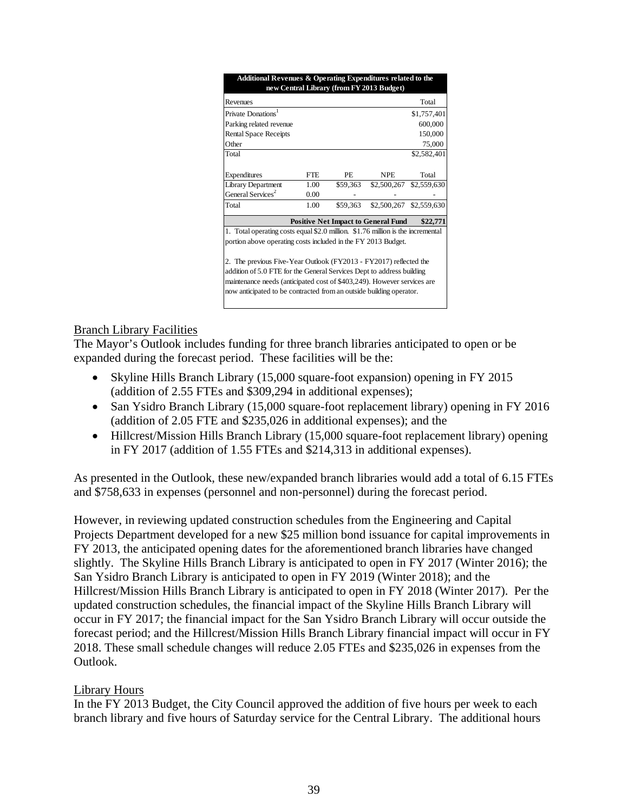| Additional Revenues & Operating Expenditures related to the                                                                                                                                                                                                                                                                                                   |            |          | new Central Library (from FY 2013 Budget)  |                         |  |  |  |  |  |  |
|---------------------------------------------------------------------------------------------------------------------------------------------------------------------------------------------------------------------------------------------------------------------------------------------------------------------------------------------------------------|------------|----------|--------------------------------------------|-------------------------|--|--|--|--|--|--|
| Revenues                                                                                                                                                                                                                                                                                                                                                      |            |          |                                            | Total                   |  |  |  |  |  |  |
| <b>Private Donations</b>                                                                                                                                                                                                                                                                                                                                      |            |          |                                            | \$1,757,401             |  |  |  |  |  |  |
| Parking related revenue                                                                                                                                                                                                                                                                                                                                       |            |          |                                            | 600,000                 |  |  |  |  |  |  |
| <b>Rental Space Receipts</b>                                                                                                                                                                                                                                                                                                                                  |            |          |                                            | 150,000                 |  |  |  |  |  |  |
| Other                                                                                                                                                                                                                                                                                                                                                         |            |          |                                            | 75,000                  |  |  |  |  |  |  |
| Total                                                                                                                                                                                                                                                                                                                                                         |            |          |                                            | \$2,582,401             |  |  |  |  |  |  |
|                                                                                                                                                                                                                                                                                                                                                               |            |          |                                            |                         |  |  |  |  |  |  |
| Expenditures                                                                                                                                                                                                                                                                                                                                                  | <b>FTE</b> | PE.      | <b>NPE</b>                                 | Total                   |  |  |  |  |  |  |
| Library Department                                                                                                                                                                                                                                                                                                                                            | 1.00       | \$59,363 | \$2,500,267                                | \$2,559,630             |  |  |  |  |  |  |
| General Services <sup>2</sup>                                                                                                                                                                                                                                                                                                                                 | 0.00       |          |                                            |                         |  |  |  |  |  |  |
| Total                                                                                                                                                                                                                                                                                                                                                         | 1.00       | \$59,363 |                                            | \$2,500,267 \$2,559,630 |  |  |  |  |  |  |
|                                                                                                                                                                                                                                                                                                                                                               |            |          | <b>Positive Net Impact to General Fund</b> | \$22,771                |  |  |  |  |  |  |
| 1. Total operating costs equal \$2.0 million. \$1.76 million is the incremental                                                                                                                                                                                                                                                                               |            |          |                                            |                         |  |  |  |  |  |  |
|                                                                                                                                                                                                                                                                                                                                                               |            |          |                                            |                         |  |  |  |  |  |  |
| portion above operating costs included in the FY 2013 Budget.<br>2. The previous Five-Year Outlook (FY2013 - FY2017) reflected the<br>addition of 5.0 FTE for the General Services Dept to address building<br>maintenance needs (anticipated cost of \$403,249). However services are<br>now anticipated to be contracted from an outside building operator. |            |          |                                            |                         |  |  |  |  |  |  |

## Branch Library Facilities

The Mayor's Outlook includes funding for three branch libraries anticipated to open or be expanded during the forecast period. These facilities will be the:

- Skyline Hills Branch Library (15,000 square-foot expansion) opening in FY 2015 (addition of 2.55 FTEs and \$309,294 in additional expenses);
- San Ysidro Branch Library (15,000 square-foot replacement library) opening in FY 2016 (addition of 2.05 FTE and \$235,026 in additional expenses); and the
- Hillcrest/Mission Hills Branch Library (15,000 square-foot replacement library) opening in FY 2017 (addition of 1.55 FTEs and \$214,313 in additional expenses).

As presented in the Outlook, these new/expanded branch libraries would add a total of 6.15 FTEs and \$758,633 in expenses (personnel and non-personnel) during the forecast period.

However, in reviewing updated construction schedules from the Engineering and Capital Projects Department developed for a new \$25 million bond issuance for capital improvements in FY 2013, the anticipated opening dates for the aforementioned branch libraries have changed slightly. The Skyline Hills Branch Library is anticipated to open in FY 2017 (Winter 2016); the San Ysidro Branch Library is anticipated to open in FY 2019 (Winter 2018); and the Hillcrest/Mission Hills Branch Library is anticipated to open in FY 2018 (Winter 2017). Per the updated construction schedules, the financial impact of the Skyline Hills Branch Library will occur in FY 2017; the financial impact for the San Ysidro Branch Library will occur outside the forecast period; and the Hillcrest/Mission Hills Branch Library financial impact will occur in FY 2018. These small schedule changes will reduce 2.05 FTEs and \$235,026 in expenses from the Outlook.

## Library Hours

In the FY 2013 Budget, the City Council approved the addition of five hours per week to each branch library and five hours of Saturday service for the Central Library. The additional hours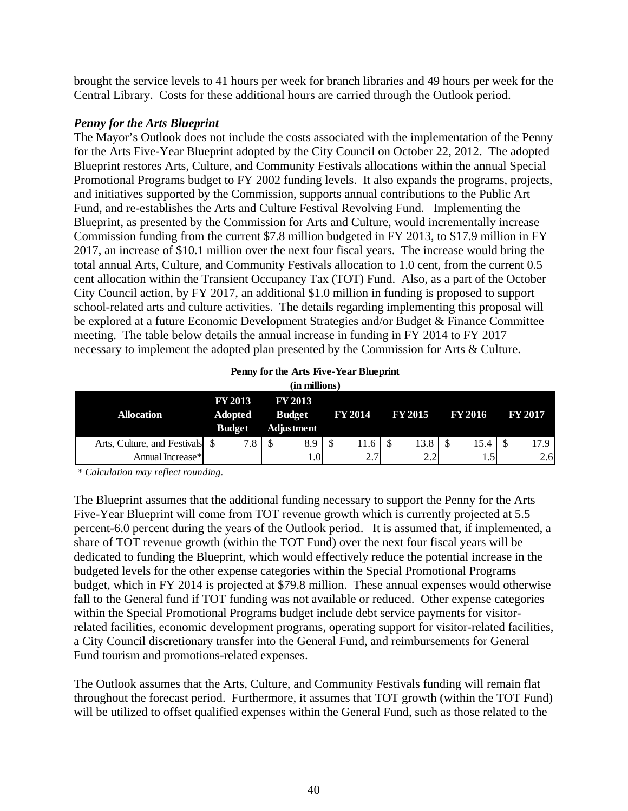brought the service levels to 41 hours per week for branch libraries and 49 hours per week for the Central Library. Costs for these additional hours are carried through the Outlook period.

## *Penny for the Arts Blueprint*

The Mayor's Outlook does not include the costs associated with the implementation of the Penny for the Arts Five-Year Blueprint adopted by the City Council on October 22, 2012. The adopted Blueprint restores Arts, Culture, and Community Festivals allocations within the annual Special Promotional Programs budget to FY 2002 funding levels. It also expands the programs, projects, and initiatives supported by the Commission, supports annual contributions to the Public Art Fund, and re-establishes the Arts and Culture Festival Revolving Fund. Implementing the Blueprint, as presented by the Commission for Arts and Culture, would incrementally increase Commission funding from the current \$7.8 million budgeted in FY 2013, to \$17.9 million in FY 2017, an increase of \$10.1 million over the next four fiscal years. The increase would bring the total annual Arts, Culture, and Community Festivals allocation to 1.0 cent, from the current 0.5 cent allocation within the Transient Occupancy Tax (TOT) Fund. Also, as a part of the October City Council action, by FY 2017, an additional \$1.0 million in funding is proposed to support school-related arts and culture activities. The details regarding implementing this proposal will be explored at a future Economic Development Strategies and/or Budget & Finance Committee meeting. The table below details the annual increase in funding in FY 2014 to FY 2017 necessary to implement the adopted plan presented by the Commission for Arts & Culture.

| Penny for the Arts Five-Year Blueprint |
|----------------------------------------|
| (in millions)                          |

| <b>Allocation</b>               | <b>FY 2013</b><br><b>Adopted</b><br><b>Budget</b> | <b>FY 2013</b><br><b>Budget</b><br>Adjustment | <b>FY 2014</b>                  | <b>FY 2015</b> | <b>FY 2016</b> | <b>FY 2017</b> |  |
|---------------------------------|---------------------------------------------------|-----------------------------------------------|---------------------------------|----------------|----------------|----------------|--|
| Arts, Culture, and Festivals \$ | 7.8                                               | 8.9                                           | 11.6                            | 13.8           | 15.4           | 17.9           |  |
| Annual Increase*                |                                                   | 0.1                                           | 27<br>$\mathcal{L}_{\bullet}$ . | $\Omega$       | 1.0            | 2.6            |  |

*\* Calculation may reflect rounding.*

The Blueprint assumes that the additional funding necessary to support the Penny for the Arts Five-Year Blueprint will come from TOT revenue growth which is currently projected at 5.5 percent-6.0 percent during the years of the Outlook period. It is assumed that, if implemented, a share of TOT revenue growth (within the TOT Fund) over the next four fiscal years will be dedicated to funding the Blueprint, which would effectively reduce the potential increase in the budgeted levels for the other expense categories within the Special Promotional Programs budget, which in FY 2014 is projected at \$79.8 million. These annual expenses would otherwise fall to the General fund if TOT funding was not available or reduced. Other expense categories within the Special Promotional Programs budget include debt service payments for visitorrelated facilities, economic development programs, operating support for visitor-related facilities, a City Council discretionary transfer into the General Fund, and reimbursements for General Fund tourism and promotions-related expenses.

The Outlook assumes that the Arts, Culture, and Community Festivals funding will remain flat throughout the forecast period. Furthermore, it assumes that TOT growth (within the TOT Fund) will be utilized to offset qualified expenses within the General Fund, such as those related to the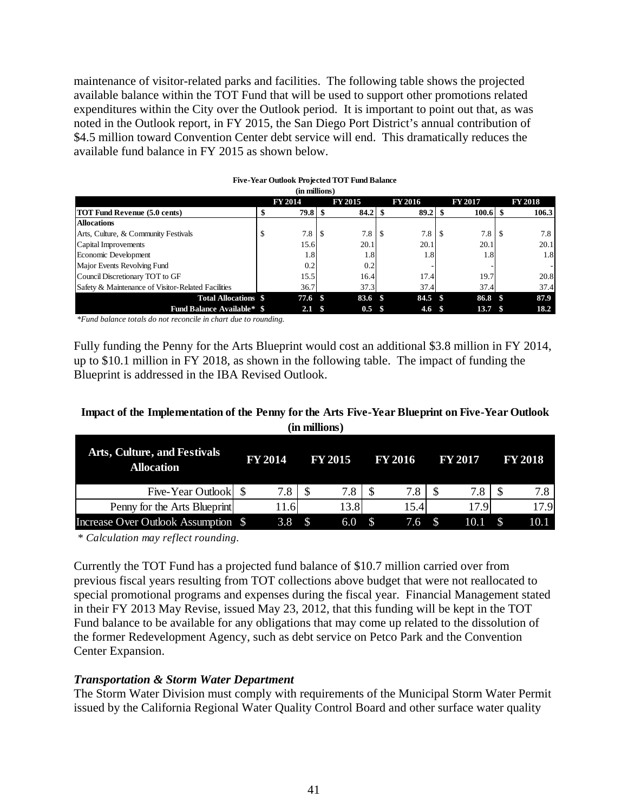maintenance of visitor-related parks and facilities. The following table shows the projected available balance within the TOT Fund that will be used to support other promotions related expenditures within the City over the Outlook period. It is important to point out that, as was noted in the Outlook report, in FY 2015, the San Diego Port District's annual contribution of \$4.5 million toward Convention Center debt service will end. This dramatically reduces the available fund balance in FY 2015 as shown below.

| (in millions)                                      |  |                |      |                |  |                |      |                   |               |                |
|----------------------------------------------------|--|----------------|------|----------------|--|----------------|------|-------------------|---------------|----------------|
|                                                    |  | <b>FY 2014</b> |      | <b>FY 2015</b> |  | <b>FY 2016</b> |      | <b>FY 2017</b>    |               | <b>FY 2018</b> |
| <b>TOT Fund Revenue (5.0 cents)</b>                |  | $79.8$ \$      |      |                |  | 89.2           |      |                   |               | 106.3          |
| <b>Allocations</b>                                 |  |                |      |                |  |                |      |                   |               |                |
| Arts, Culture, & Community Festivals               |  | 7.8            |      | 7.8            |  | 7.8            | J.   | 7.8               | <sup>\$</sup> | 7.8            |
| Capital Improvements                               |  | 15.6           |      | 20.1           |  | 20.1           |      | 20.1              |               | 20.1           |
| Economic Development                               |  | 1.8            |      | 1.8            |  | 1.8            |      | 1.8               |               | 1.8            |
| Major Events Revolving Fund                        |  | 0.2            |      | 0.2            |  |                |      |                   |               |                |
| Council Discretionary TOT to GF                    |  | 15.5           |      | 16.4           |  | 17.4           |      | 19.7              |               | 20.8           |
| Safety & Maintenance of Visitor-Related Facilities |  | 36.7           |      | 37.3           |  | 37.4           |      | 37.4              |               | 37.4           |
| <b>Total Allocations \$</b>                        |  | 77.6 \$        |      | 83.6 \$        |  | 84.5           | - \$ | 86.8 \$           |               | 87.9           |
| <b>Fund Balance Available* \$</b>                  |  | 2.1            | - \$ | $0.5 \quad$ \$ |  | 4.6            |      | 13.7 <sup>8</sup> |               | 18.2           |

# **Five-Year Outlook Projected TOT Fund Balance**

*\*Fund balance totals do not reconcile in chart due to rounding.*

Fully funding the Penny for the Arts Blueprint would cost an additional \$3.8 million in FY 2014, up to \$10.1 million in FY 2018, as shown in the following table. The impact of funding the Blueprint is addressed in the IBA Revised Outlook.

## **Impact of the Implementation of the Penny for the Arts Five-Year Blueprint on Five-Year Outlook (in millions)**

|                                                          |                | --------------       |                      |                        |                |
|----------------------------------------------------------|----------------|----------------------|----------------------|------------------------|----------------|
| <b>Arts, Culture, and Festivals</b><br><b>Allocation</b> | <b>FY 2014</b> | <b>FY 2015</b>       | <b>FY 2016</b>       | <b>FY 2017</b>         | <b>FY 2018</b> |
| Five-Year Outlook                                        | 7.8            |                      |                      |                        |                |
| Penny for the Arts Blueprint                             | 11.61          | 13.8                 | 15.4                 | 17.9                   | 17.9           |
| Increase Over Outlook Assumption \$                      | 3.8            | <sup>\$</sup><br>6.0 | $\mathcal{S}$<br>7.6 | 10.1<br>$\blacksquare$ | 10.1           |

*\* Calculation may reflect rounding.*

Currently the TOT Fund has a projected fund balance of \$10.7 million carried over from previous fiscal years resulting from TOT collections above budget that were not reallocated to special promotional programs and expenses during the fiscal year. Financial Management stated in their FY 2013 May Revise, issued May 23, 2012, that this funding will be kept in the TOT Fund balance to be available for any obligations that may come up related to the dissolution of the former Redevelopment Agency, such as debt service on Petco Park and the Convention Center Expansion.

## *Transportation & Storm Water Department*

The Storm Water Division must comply with requirements of the Municipal Storm Water Permit issued by the California Regional Water Quality Control Board and other surface water quality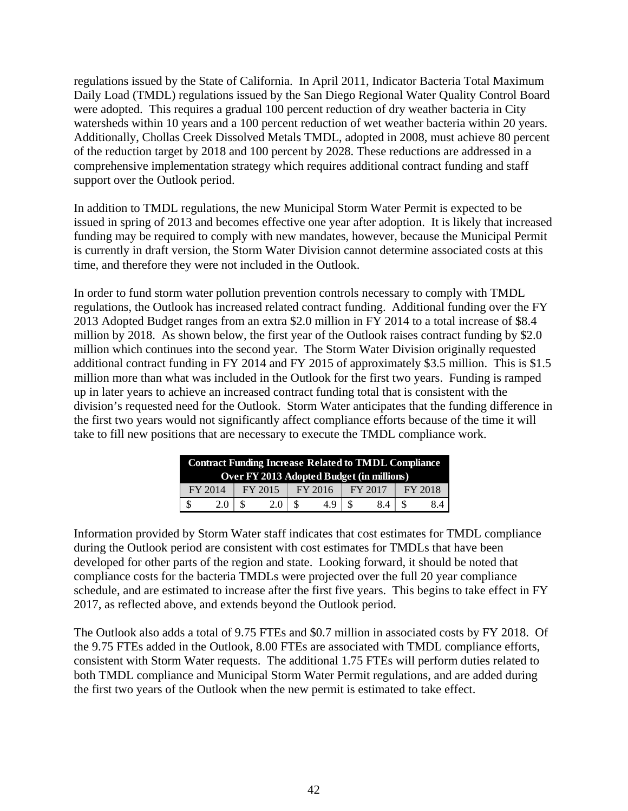regulations issued by the State of California. In April 2011, Indicator Bacteria Total Maximum Daily Load (TMDL) regulations issued by the San Diego Regional Water Quality Control Board were adopted. This requires a gradual 100 percent reduction of dry weather bacteria in City watersheds within 10 years and a 100 percent reduction of wet weather bacteria within 20 years. Additionally, Chollas Creek Dissolved Metals TMDL, adopted in 2008, must achieve 80 percent of the reduction target by 2018 and 100 percent by 2028. These reductions are addressed in a comprehensive implementation strategy which requires additional contract funding and staff support over the Outlook period.

In addition to TMDL regulations, the new Municipal Storm Water Permit is expected to be issued in spring of 2013 and becomes effective one year after adoption. It is likely that increased funding may be required to comply with new mandates, however, because the Municipal Permit is currently in draft version, the Storm Water Division cannot determine associated costs at this time, and therefore they were not included in the Outlook.

In order to fund storm water pollution prevention controls necessary to comply with TMDL regulations, the Outlook has increased related contract funding. Additional funding over the FY 2013 Adopted Budget ranges from an extra \$2.0 million in FY 2014 to a total increase of \$8.4 million by 2018. As shown below, the first year of the Outlook raises contract funding by \$2.0 million which continues into the second year. The Storm Water Division originally requested additional contract funding in FY 2014 and FY 2015 of approximately \$3.5 million. This is \$1.5 million more than what was included in the Outlook for the first two years. Funding is ramped up in later years to achieve an increased contract funding total that is consistent with the division's requested need for the Outlook. Storm Water anticipates that the funding difference in the first two years would not significantly affect compliance efforts because of the time it will take to fill new positions that are necessary to execute the TMDL compliance work.

| <b>Contract Funding Increase Related to TMDL Compliance</b> |     |         |     |  |         |  |         |         |    |  |
|-------------------------------------------------------------|-----|---------|-----|--|---------|--|---------|---------|----|--|
| <b>Over FY 2013 Adopted Budget (in millions)</b>            |     |         |     |  |         |  |         |         |    |  |
| FY 2014                                                     |     | FY 2015 |     |  | FY 2016 |  | FY 2017 | FY 2018 |    |  |
|                                                             | 2.0 |         | 2.0 |  | 4.9     |  | 84      |         | 84 |  |

Information provided by Storm Water staff indicates that cost estimates for TMDL compliance during the Outlook period are consistent with cost estimates for TMDLs that have been developed for other parts of the region and state. Looking forward, it should be noted that compliance costs for the bacteria TMDLs were projected over the full 20 year compliance schedule, and are estimated to increase after the first five years. This begins to take effect in FY 2017, as reflected above, and extends beyond the Outlook period.

The Outlook also adds a total of 9.75 FTEs and \$0.7 million in associated costs by FY 2018. Of the 9.75 FTEs added in the Outlook, 8.00 FTEs are associated with TMDL compliance efforts, consistent with Storm Water requests. The additional 1.75 FTEs will perform duties related to both TMDL compliance and Municipal Storm Water Permit regulations, and are added during the first two years of the Outlook when the new permit is estimated to take effect.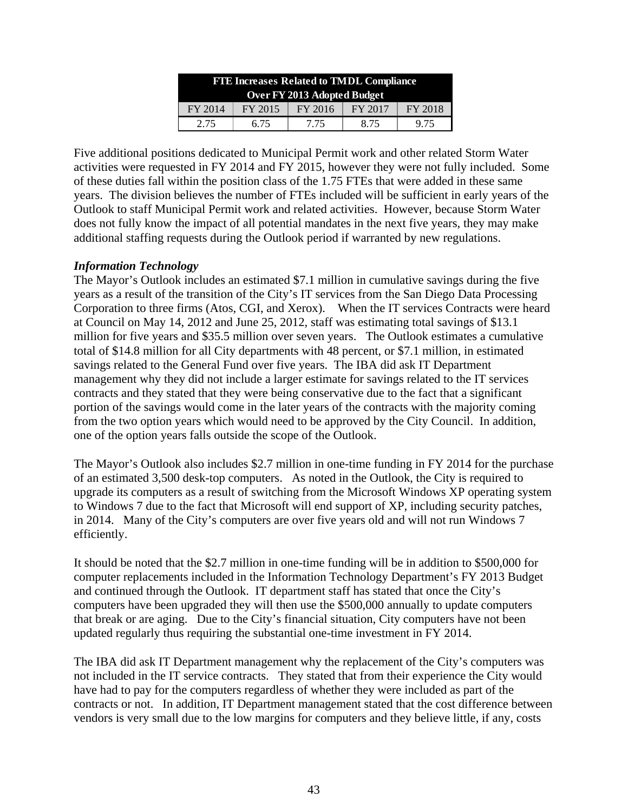| <b>FTE Increases Related to TMDL Compliance</b> |         |         |         |         |  |  |  |  |  |  |  |
|-------------------------------------------------|---------|---------|---------|---------|--|--|--|--|--|--|--|
| Over FY 2013 Adopted Budget                     |         |         |         |         |  |  |  |  |  |  |  |
| FY 2014                                         | FY 2015 | FY 2016 | FY 2017 | FY 2018 |  |  |  |  |  |  |  |
| 2.75                                            | 6.75    | 8.75    | 9.75    |         |  |  |  |  |  |  |  |

Five additional positions dedicated to Municipal Permit work and other related Storm Water activities were requested in FY 2014 and FY 2015, however they were not fully included. Some of these duties fall within the position class of the 1.75 FTEs that were added in these same years. The division believes the number of FTEs included will be sufficient in early years of the Outlook to staff Municipal Permit work and related activities. However, because Storm Water does not fully know the impact of all potential mandates in the next five years, they may make additional staffing requests during the Outlook period if warranted by new regulations.

## *Information Technology*

The Mayor's Outlook includes an estimated \$7.1 million in cumulative savings during the five years as a result of the transition of the City's IT services from the San Diego Data Processing Corporation to three firms (Atos, CGI, and Xerox). When the IT services Contracts were heard at Council on May 14, 2012 and June 25, 2012, staff was estimating total savings of \$13.1 million for five years and \$35.5 million over seven years. The Outlook estimates a cumulative total of \$14.8 million for all City departments with 48 percent, or \$7.1 million, in estimated savings related to the General Fund over five years. The IBA did ask IT Department management why they did not include a larger estimate for savings related to the IT services contracts and they stated that they were being conservative due to the fact that a significant portion of the savings would come in the later years of the contracts with the majority coming from the two option years which would need to be approved by the City Council. In addition, one of the option years falls outside the scope of the Outlook.

The Mayor's Outlook also includes \$2.7 million in one-time funding in FY 2014 for the purchase of an estimated 3,500 desk-top computers. As noted in the Outlook, the City is required to upgrade its computers as a result of switching from the Microsoft Windows XP operating system to Windows 7 due to the fact that Microsoft will end support of XP, including security patches, in 2014. Many of the City's computers are over five years old and will not run Windows 7 efficiently.

It should be noted that the \$2.7 million in one-time funding will be in addition to \$500,000 for computer replacements included in the Information Technology Department's FY 2013 Budget and continued through the Outlook. IT department staff has stated that once the City's computers have been upgraded they will then use the \$500,000 annually to update computers that break or are aging. Due to the City's financial situation, City computers have not been updated regularly thus requiring the substantial one-time investment in FY 2014.

The IBA did ask IT Department management why the replacement of the City's computers was not included in the IT service contracts. They stated that from their experience the City would have had to pay for the computers regardless of whether they were included as part of the contracts or not. In addition, IT Department management stated that the cost difference between vendors is very small due to the low margins for computers and they believe little, if any, costs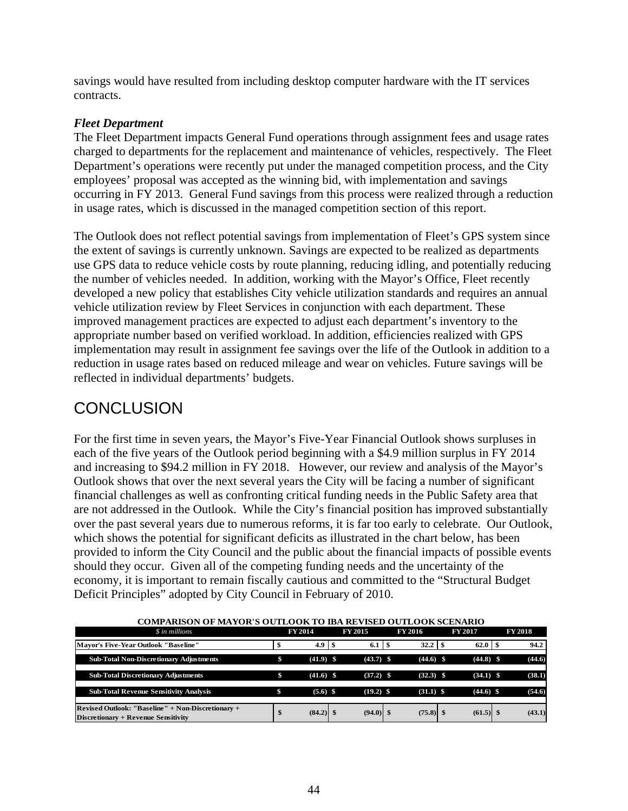savings would have resulted from including desktop computer hardware with the IT services contracts.

## *Fleet Department*

The Fleet Department impacts General Fund operations through assignment fees and usage rates charged to departments for the replacement and maintenance of vehicles, respectively. The Fleet Department's operations were recently put under the managed competition process, and the City employees' proposal was accepted as the winning bid, with implementation and savings occurring in FY 2013. General Fund savings from this process were realized through a reduction in usage rates, which is discussed in the managed competition section of this report.

The Outlook does not reflect potential savings from implementation of Fleet's GPS system since the extent of savings is currently unknown. Savings are expected to be realized as departments use GPS data to reduce vehicle costs by route planning, reducing idling, and potentially reducing the number of vehicles needed. In addition, working with the Mayor's Office, Fleet recently developed a new policy that establishes City vehicle utilization standards and requires an annual vehicle utilization review by Fleet Services in conjunction with each department. These improved management practices are expected to adjust each department's inventory to the appropriate number based on verified workload. In addition, efficiencies realized with GPS implementation may result in assignment fee savings over the life of the Outlook in addition to a reduction in usage rates based on reduced mileage and wear on vehicles. Future savings will be reflected in individual departments' budgets.

## **CONCLUSION**

For the first time in seven years, the Mayor's Five-Year Financial Outlook shows surpluses in each of the five years of the Outlook period beginning with a \$4.9 million surplus in FY 2014 and increasing to \$94.2 million in FY 2018. However, our review and analysis of the Mayor's Outlook shows that over the next several years the City will be facing a number of significant financial challenges as well as confronting critical funding needs in the Public Safety area that are not addressed in the Outlook. While the City's financial position has improved substantially over the past several years due to numerous reforms, it is far too early to celebrate. Our Outlook, which shows the potential for significant deficits as illustrated in the chart below, has been provided to inform the City Council and the public about the financial impacts of possible events should they occur. Given all of the competing funding needs and the uncertainty of the economy, it is important to remain fiscally cautious and committed to the "Structural Budget Deficit Principles" adopted by City Council in February of 2010.

| COMI ANBON OF MATON 8 OUTLOON TO IBA NEVISED OUTLOON SCENANIO                                   |    |                |  |                   |  |                |  |                |  |                |
|-------------------------------------------------------------------------------------------------|----|----------------|--|-------------------|--|----------------|--|----------------|--|----------------|
| \$ in millions                                                                                  |    | <b>FY 2014</b> |  | <b>FY 2015</b>    |  | <b>FY 2016</b> |  | <b>FY 2017</b> |  | <b>FY 2018</b> |
| <b>Mavor's Five-Year Outlook "Baseline"</b>                                                     | Ф  |                |  | $6.1 \, \text{S}$ |  |                |  |                |  | 94.2           |
| <b>Sub-Total Non-Discretionary Adjustments</b>                                                  | \$ | $(41.9)$ \$    |  | $(43.7)$ \$       |  | $(44.6)$ \$    |  | $(44.8)$ \$    |  | (44.6)         |
| <b>Sub-Total Discretionary Adjustments</b>                                                      | \$ | $(41.6)$ \$    |  | $(37.2)$ \$       |  | $(32.3)$ \$    |  | $(34.1)$ \$    |  | (38.1)         |
| <b>Sub-Total Revenue Sensitivity Analysis</b>                                                   |    | $(5.6)$ \$     |  | $(19.2)$ \$       |  | $(31.1)$ \$    |  | $(44.6)$ \$    |  | (54.6)         |
| Revised Outlook: "Baseline" + Non-Discretionary +<br><b>Discretionary + Revenue Sensitivity</b> | \$ | $(84.2)$ \$    |  | $(94.0)$ \$       |  | $(75.8)$ \$    |  | $(61.5)$ \$    |  | (43.1)         |

#### **COMPARISON OF MAYOR'S OUTLOOK TO IBA REVISED OUTLOOK SCENARIO**